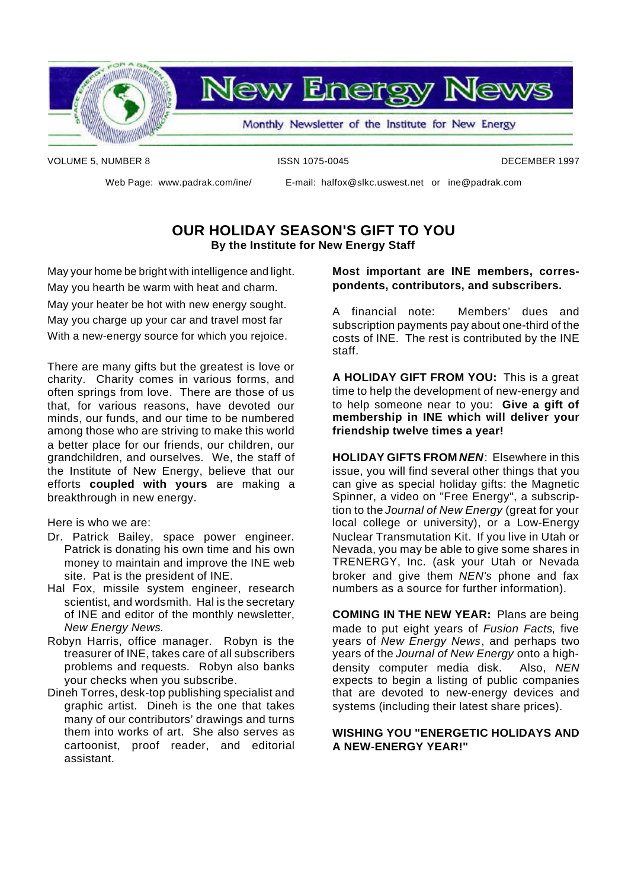

**New Energy News** 

Monthly Newsletter of the Institute for New Energy

VOLUME 5, NUMBER 8 **ISSN 1075-0045** ISSN 1075-0045

Web Page: www.padrak.com/ine/ E-mail: halfox@slkc.uswest.net or ine@padrak.com

### **OUR HOLIDAY SEASON'S GIFT TO YOU By the Institute for New Energy Staff**

May your home be bright with intelligence and light. May you hearth be warm with heat and charm. May your heater be hot with new energy sought. May you charge up your car and travel most far With a new-energy source for which you rejoice.

There are many gifts but the greatest is love or charity. Charity comes in various forms, and often springs from love. There are those of us that, for various reasons, have devoted our minds, our funds, and our time to be numbered among those who are striving to make this world a better place for our friends, our children, our grandchildren, and ourselves. We, the staff of the Institute of New Energy, believe that our efforts **coupled with yours** are making a breakthrough in new energy.

Here is who we are:

- Dr. Patrick Bailey, space power engineer. Patrick is donating his own time and his own money to maintain and improve the INE web site. Pat is the president of INE.
- Hal Fox, missile system engineer, research scientist, and wordsmith. Hal is the secretary of INE and editor of the monthly newsletter, *New Energy News.*
- Robyn Harris, office manager. Robyn is the treasurer of INE, takes care of all subscribers problems and requests. Robyn also banks your checks when you subscribe.
- Dineh Torres, desk-top publishing specialist and graphic artist. Dineh is the one that takes many of our contributors' drawings and turns them into works of art. She also serves as cartoonist, proof reader, and editorial assistant.

#### **Most important are INE members, correspondents, contributors, and subscribers.**

A financial note: Members' dues and subscription payments pay about one-third of the costs of INE. The rest is contributed by the INE staff.

**A HOLIDAY GIFT FROM YOU:** This is a great time to help the development of new-energy and to help someone near to you: **Give a gift of membership in INE which will deliver your friendship twelve times a year!**

**HOLIDAY GIFTS FROM** *NEN*: Elsewhere in this issue, you will find several other things that you can give as special holiday gifts: the Magnetic Spinner, a video on "Free Energy", a subscription to the *Journal of New Energy* (great for your local college or university), or a Low-Energy Nuclear Transmutation Kit. If you live in Utah or Nevada, you may be able to give some shares in TRENERGY, Inc. (ask your Utah or Nevada broker and give them *NEN's* phone and fax numbers as a source for further information).

**COMING IN THE NEW YEAR:** Plans are being made to put eight years of *Fusion Facts*, five years of *New Energy News*, and perhaps two years of the *Journal of New Energy* onto a highdensity computer media disk. Also, *NEN* expects to begin a listing of public companies that are devoted to new-energy devices and systems (including their latest share prices).

#### **WISHING YOU "ENERGETIC HOLIDAYS AND A NEW-ENERGY YEAR!"**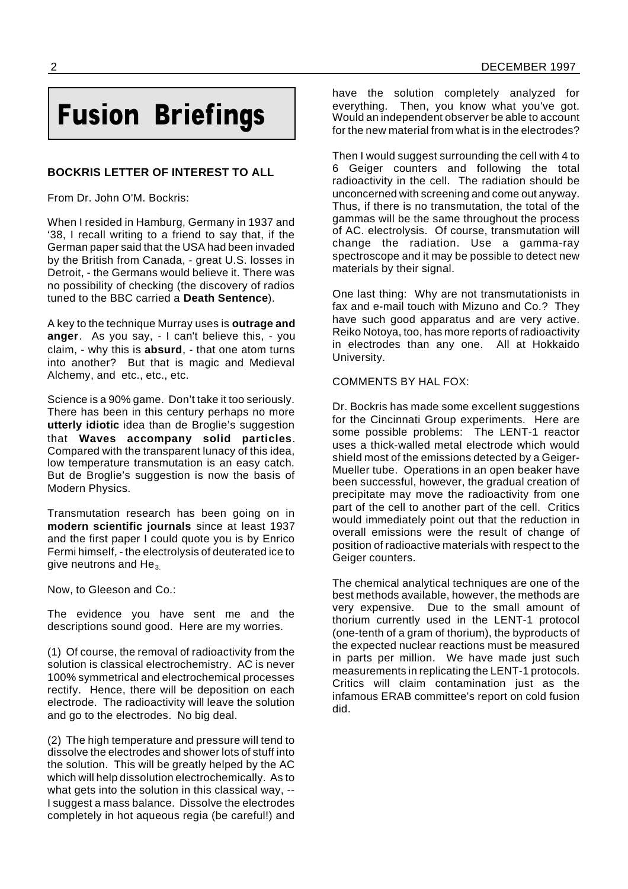## **Fusion Briefings**

#### **BOCKRIS LETTER OF INTEREST TO ALL**

From Dr. John O'M. Bockris:

When I resided in Hamburg, Germany in 1937 and '38, I recall writing to a friend to say that, if the German paper said that the USA had been invaded by the British from Canada, - great U.S. losses in Detroit, - the Germans would believe it. There was no possibility of checking (the discovery of radios tuned to the BBC carried a **Death Sentence**).

A key to the technique Murray uses is **outrage and anger**. As you say, - I can't believe this, - you claim, - why this is **absurd**, - that one atom turns into another? But that is magic and Medieval Alchemy, and etc., etc., etc.

Science is a 90% game. Don't take it too seriously. There has been in this century perhaps no more **utterly idiotic** idea than de Broglie's suggestion that **Waves accompany solid particles**. Compared with the transparent lunacy of this idea, low temperature transmutation is an easy catch. But de Broglie's suggestion is now the basis of Modern Physics.

Transmutation research has been going on in **modern scientific journals** since at least 1937 and the first paper I could quote you is by Enrico Fermi himself, - the electrolysis of deuterated ice to give neutrons and  $He_3$ .

Now, to Gleeson and Co.:

The evidence you have sent me and the descriptions sound good. Here are my worries.

(1) Of course, the removal of radioactivity from the solution is classical electrochemistry. AC is never 100% symmetrical and electrochemical processes rectify. Hence, there will be deposition on each electrode. The radioactivity will leave the solution and go to the electrodes. No big deal.

(2) The high temperature and pressure will tend to dissolve the electrodes and shower lots of stuff into the solution. This will be greatly helped by the AC which will help dissolution electrochemically. As to what gets into the solution in this classical way, -- I suggest a mass balance. Dissolve the electrodes completely in hot aqueous regia (be careful!) and

have the solution completely analyzed for everything. Then, you know what you've got. Would an independent observer be able to account for the new material from what is in the electrodes?

Then I would suggest surrounding the cell with 4 to 6 Geiger counters and following the total radioactivity in the cell. The radiation should be unconcerned with screening and come out anyway. Thus, if there is no transmutation, the total of the gammas will be the same throughout the process of AC. electrolysis. Of course, transmutation will change the radiation. Use a gamma-ray spectroscope and it may be possible to detect new materials by their signal.

One last thing: Why are not transmutationists in fax and e-mail touch with Mizuno and Co.? They have such good apparatus and are very active. Reiko Notoya, too, has more reports of radioactivity in electrodes than any one. All at Hokkaido University.

#### COMMENTS BY HAL FOX:

Dr. Bockris has made some excellent suggestions for the Cincinnati Group experiments. Here are some possible problems: The LENT-1 reactor uses a thick-walled metal electrode which would shield most of the emissions detected by a Geiger-Mueller tube. Operations in an open beaker have been successful, however, the gradual creation of precipitate may move the radioactivity from one part of the cell to another part of the cell. Critics would immediately point out that the reduction in overall emissions were the result of change of position of radioactive materials with respect to the Geiger counters.

The chemical analytical techniques are one of the best methods available, however, the methods are very expensive. Due to the small amount of thorium currently used in the LENT-1 protocol (one-tenth of a gram of thorium), the byproducts of the expected nuclear reactions must be measured in parts per million. We have made just such measurements in replicating the LENT-1 protocols. Critics will claim contamination just as the infamous ERAB committee's report on cold fusion did.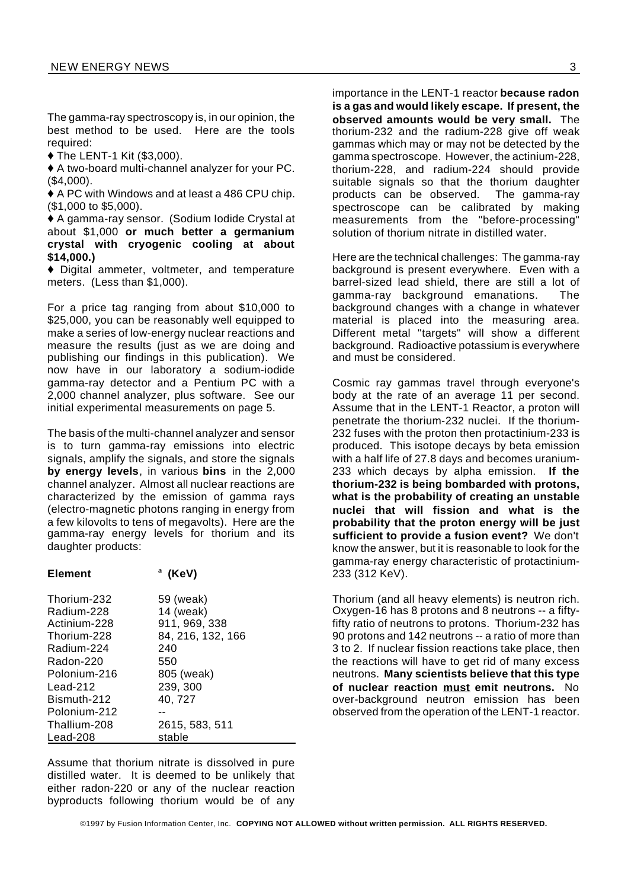The gamma-ray spectroscopy is, in our opinion, the best method to be used. Here are the tools required:

 $\blacklozenge$  The LENT-1 Kit (\$3,000).

 $\triangle$  A two-board multi-channel analyzer for your PC. (\$4,000).

 $\triangle$  A PC with Windows and at least a 486 CPU chip. (\$1,000 to \$5,000).

◆ A gamma-ray sensor. (Sodium Iodide Crystal at about \$1,000 **or much better a germanium crystal with cryogenic cooling at about \$14,000.)**

 $\blacklozenge$  Digital ammeter, voltmeter, and temperature meters. (Less than \$1,000).

For a price tag ranging from about \$10,000 to \$25,000, you can be reasonably well equipped to make a series of low-energy nuclear reactions and measure the results (just as we are doing and publishing our findings in this publication). We now have in our laboratory a sodium-iodide gamma-ray detector and a Pentium PC with a 2,000 channel analyzer, plus software. See our initial experimental measurements on page 5.

The basis of the multi-channel analyzer and sensor is to turn gamma-ray emissions into electric signals, amplify the signals, and store the signals **by energy levels**, in various **bins** in the 2,000 channel analyzer. Almost all nuclear reactions are characterized by the emission of gamma rays (electro-magnetic photons ranging in energy from a few kilovolts to tens of megavolts). Here are the gamma-ray energy levels for thorium and its daughter products:

| <b>Element</b> | $^{\circ}$ (KeV) |
|----------------|------------------|
|                |                  |

| Thorium-232  | 59 (weak)         |
|--------------|-------------------|
| Radium-228   | 14 (weak)         |
| Actinium-228 | 911, 969, 338     |
| Thorium-228  | 84, 216, 132, 166 |
| Radium-224   | 240               |
| Radon-220    | 550               |
| Polonium-216 | 805 (weak)        |
| Lead-212     | 239, 300          |
| Bismuth-212  | 40, 727           |
| Polonium-212 |                   |
| Thallium-208 | 2615, 583, 511    |
| Lead-208     | stable            |

Assume that thorium nitrate is dissolved in pure distilled water. It is deemed to be unlikely that either radon-220 or any of the nuclear reaction byproducts following thorium would be of any

importance in the LENT-1 reactor **because radon is a gas and would likely escape. If present, the observed amounts would be very small.** The thorium-232 and the radium-228 give off weak gammas which may or may not be detected by the gamma spectroscope. However, the actinium-228, thorium-228, and radium-224 should provide suitable signals so that the thorium daughter products can be observed. The gamma-ray spectroscope can be calibrated by making measurements from the "before-processing" solution of thorium nitrate in distilled water.

Here are the technical challenges: The gamma-ray background is present everywhere. Even with a barrel-sized lead shield, there are still a lot of gamma-ray background emanations. The background changes with a change in whatever material is placed into the measuring area. Different metal "targets" will show a different background. Radioactive potassium is everywhere and must be considered.

Cosmic ray gammas travel through everyone's body at the rate of an average 11 per second. Assume that in the LENT-1 Reactor, a proton will penetrate the thorium-232 nuclei. If the thorium-232 fuses with the proton then protactinium-233 is produced. This isotope decays by beta emission with a half life of 27.8 days and becomes uranium-233 which decays by alpha emission. **If the thorium-232 is being bombarded with protons, what is the probability of creating an unstable nuclei that will fission and what is the probability that the proton energy will be just sufficient to provide a fusion event?** We don't know the answer, but it is reasonable to look for the gamma-ray energy characteristic of protactinium-233 (312 KeV).

Thorium (and all heavy elements) is neutron rich. Oxygen-16 has 8 protons and 8 neutrons -- a fiftyfifty ratio of neutrons to protons. Thorium-232 has 90 protons and 142 neutrons -- a ratio of more than 3 to 2. If nuclear fission reactions take place, then the reactions will have to get rid of many excess neutrons. **Many scientists believe that this type of nuclear reaction must emit neutrons.** No over-background neutron emission has been observed from the operation of the LENT-1 reactor.

©1997 by Fusion Information Center, Inc. **COPYING NOT ALLOWED without written permission. ALL RIGHTS RESERVED.**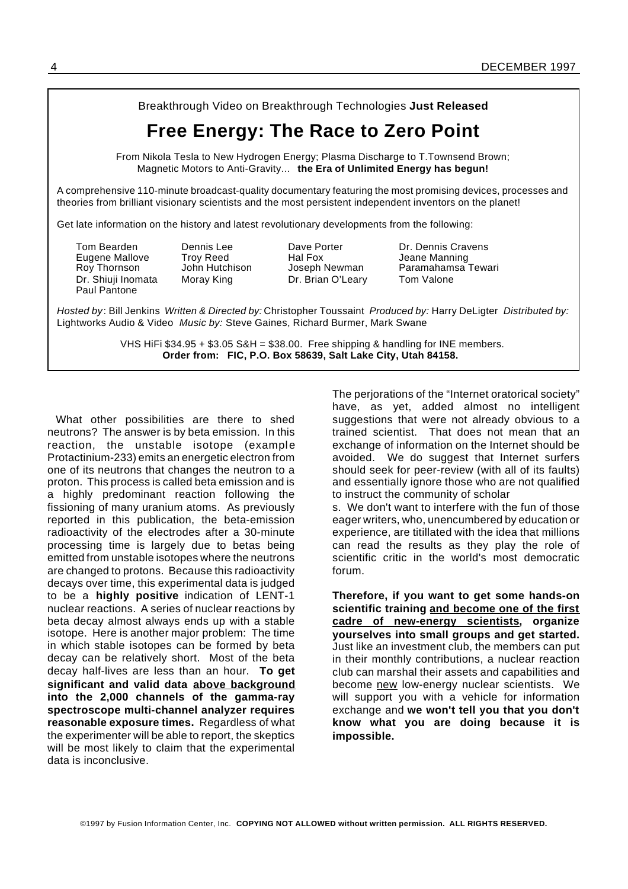Breakthrough Video on Breakthrough Technologies **Just Released**

## **Free Energy: The Race to Zero Point**

From Nikola Tesla to New Hydrogen Energy; Plasma Discharge to T.Townsend Brown; Magnetic Motors to Anti-Gravity... **the Era of Unlimited Energy has begun!**

A comprehensive 110-minute broadcast-quality documentary featuring the most promising devices, processes and theories from brilliant visionary scientists and the most persistent independent inventors on the planet!

Get late information on the history and latest revolutionary developments from the following:

Eugene Mallove Troy Reed Hal Fox Jeane Manning Dr. Shiuji Inomata Moray King Dr. Brian O'Leary Tom Valone Paul Pantone

Tom Bearden Dennis Lee Dave Porter Dr. Dennis Cravens Roy Thornson John Hutchison Joseph Newman Paramahamsa Tewari

*Hosted by*: Bill Jenkins *Written & Directed by:* Christopher Toussaint *Produced by:* Harry DeLigter *Distributed by:* Lightworks Audio & Video *Music by:* Steve Gaines, Richard Burmer, Mark Swane

> VHS HiFi  $\$34.95 + \$3.05$  S&H =  $\$38.00$ . Free shipping & handling for INE members. **Order from: FIC, P.O. Box 58639, Salt Lake City, Utah 84158.**

What other possibilities are there to shed neutrons? The answer is by beta emission. In this reaction, the unstable isotope (example Protactinium-233) emits an energetic electron from one of its neutrons that changes the neutron to a proton. This process is called beta emission and is a highly predominant reaction following the fissioning of many uranium atoms. As previously reported in this publication, the beta-emission radioactivity of the electrodes after a 30-minute processing time is largely due to betas being emitted from unstable isotopes where the neutrons are changed to protons. Because this radioactivity decays over time, this experimental data is judged to be a **highly positive** indication of LENT-1 nuclear reactions. A series of nuclear reactions by beta decay almost always ends up with a stable isotope. Here is another major problem: The time in which stable isotopes can be formed by beta decay can be relatively short. Most of the beta decay half-lives are less than an hour. **To get significant and valid data above background into the 2,000 channels of the gamma-ray spectroscope multi-channel analyzer requires reasonable exposure times.** Regardless of what the experimenter will be able to report, the skeptics will be most likely to claim that the experimental data is inconclusive.

The perjorations of the "Internet oratorical society" have, as yet, added almost no intelligent suggestions that were not already obvious to a trained scientist. That does not mean that an exchange of information on the Internet should be avoided. We do suggest that Internet surfers should seek for peer-review (with all of its faults) and essentially ignore those who are not qualified to instruct the community of scholar

s. We don't want to interfere with the fun of those eager writers, who, unencumbered by education or experience, are titillated with the idea that millions can read the results as they play the role of scientific critic in the world's most democratic forum.

**Therefore, if you want to get some hands-on scientific training and become one of the first cadre of new-energy scientists, organize yourselves into small groups and get started.** Just like an investment club, the members can put in their monthly contributions, a nuclear reaction club can marshal their assets and capabilities and become new low-energy nuclear scientists. We will support you with a vehicle for information exchange and **we won't tell you that you don't know what you are doing because it is impossible.**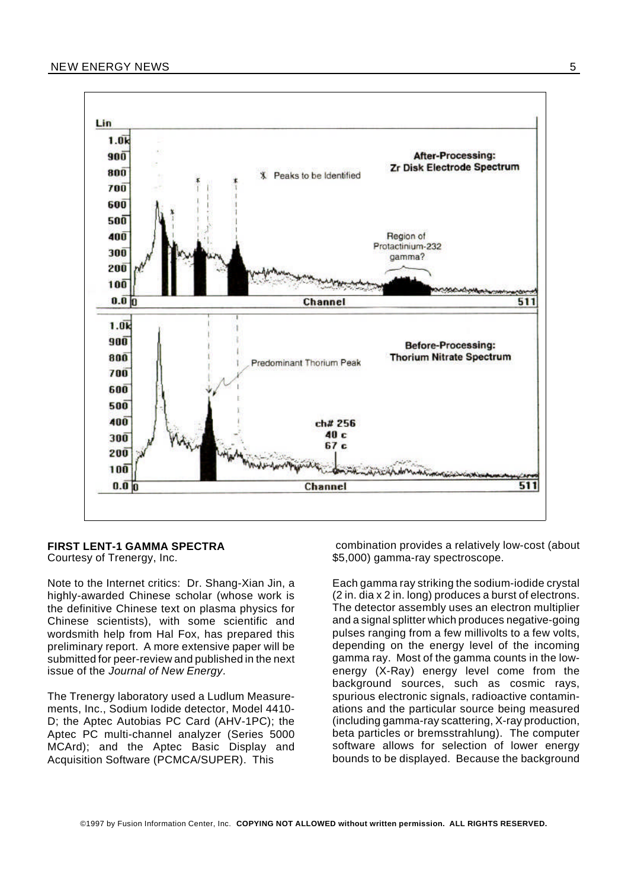

#### **FIRST LENT-1 GAMMA SPECTRA**

Courtesy of Trenergy, Inc.

Note to the Internet critics: Dr. Shang-Xian Jin, a highly-awarded Chinese scholar (whose work is the definitive Chinese text on plasma physics for Chinese scientists), with some scientific and wordsmith help from Hal Fox, has prepared this preliminary report. A more extensive paper will be submitted for peer-review and published in the next issue of the *Journal of New Energy*.

The Trenergy laboratory used a Ludlum Measurements, Inc., Sodium Iodide detector, Model 4410- D; the Aptec Autobias PC Card (AHV-1PC); the Aptec PC multi-channel analyzer (Series 5000 MCArd); and the Aptec Basic Display and Acquisition Software (PCMCA/SUPER). This

combination provides a relatively low-cost (about \$5,000) gamma-ray spectroscope.

Each gamma ray striking the sodium-iodide crystal (2 in. dia x 2 in. long) produces a burst of electrons. The detector assembly uses an electron multiplier and a signal splitter which produces negative-going pulses ranging from a few millivolts to a few volts, depending on the energy level of the incoming gamma ray. Most of the gamma counts in the lowenergy (X-Ray) energy level come from the background sources, such as cosmic rays, spurious electronic signals, radioactive contaminations and the particular source being measured (including gamma-ray scattering, X-ray production, beta particles or bremsstrahlung). The computer software allows for selection of lower energy bounds to be displayed. Because the background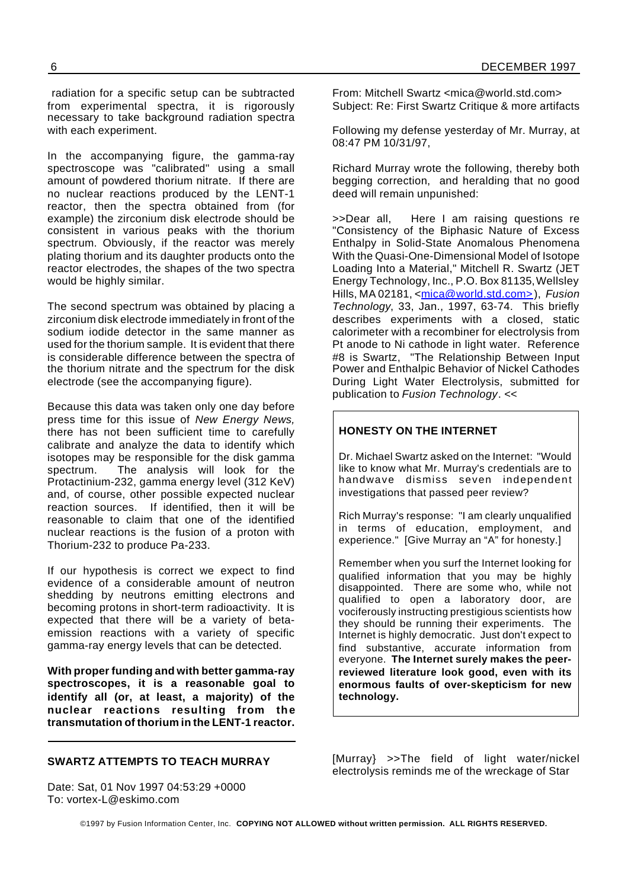radiation for a specific setup can be subtracted from experimental spectra, it is rigorously necessary to take background radiation spectra with each experiment.

In the accompanying figure, the gamma-ray spectroscope was "calibrated" using a small amount of powdered thorium nitrate. If there are no nuclear reactions produced by the LENT-1 reactor, then the spectra obtained from (for example) the zirconium disk electrode should be consistent in various peaks with the thorium spectrum. Obviously, if the reactor was merely plating thorium and its daughter products onto the reactor electrodes, the shapes of the two spectra would be highly similar.

The second spectrum was obtained by placing a zirconium disk electrode immediately in front of the sodium iodide detector in the same manner as used for the thorium sample. It is evident that there is considerable difference between the spectra of the thorium nitrate and the spectrum for the disk electrode (see the accompanying figure).

Because this data was taken only one day before press time for this issue of *New Energy News,* there has not been sufficient time to carefully calibrate and analyze the data to identify which isotopes may be responsible for the disk gamma spectrum. The analysis will look for the Protactinium-232, gamma energy level (312 KeV) and, of course, other possible expected nuclear reaction sources. If identified, then it will be reasonable to claim that one of the identified nuclear reactions is the fusion of a proton with Thorium-232 to produce Pa-233.

If our hypothesis is correct we expect to find evidence of a considerable amount of neutron shedding by neutrons emitting electrons and becoming protons in short-term radioactivity. It is expected that there will be a variety of betaemission reactions with a variety of specific gamma-ray energy levels that can be detected.

**With proper funding and with better gamma-ray spectroscopes, it is a reasonable goal to identify all (or, at least, a majority) of the nuclear reactions resulting from the transmutation of thorium in the LENT-1 reactor.** From: Mitchell Swartz <mica@world.std.com> Subject: Re: First Swartz Critique & more artifacts

Following my defense yesterday of Mr. Murray, at 08:47 PM 10/31/97,

Richard Murray wrote the following, thereby both begging correction, and heralding that no good deed will remain unpunished:

>>Dear all, Here I am raising questions re "Consistency of the Biphasic Nature of Excess Enthalpy in Solid-State Anomalous Phenomena With the Quasi-One-Dimensional Model of Isotope Loading Into a Material," Mitchell R. Swartz (JET Energy Technology, Inc., P.O. Box 81135,Wellsley Hills, MA 02181, <mica@world.std.com>), *Fusion Technology*, 33, Jan., 1997, 63-74. This briefly describes experiments with a closed, static calorimeter with a recombiner for electrolysis from Pt anode to Ni cathode in light water. Reference #8 is Swartz, "The Relationship Between Input Power and Enthalpic Behavior of Nickel Cathodes During Light Water Electrolysis, submitted for publication to *Fusion Technology*. <<

#### **HONESTY ON THE INTERNET**

Dr. Michael Swartz asked on the Internet: "Would like to know what Mr. Murray's credentials are to handwave dismiss seven independent investigations that passed peer review?

Rich Murray's response: "I am clearly unqualified in terms of education, employment, and experience." [Give Murray an "A" for honesty.]

Remember when you surf the Internet looking for qualified information that you may be highly disappointed. There are some who, while not qualified to open a laboratory door, are vociferously instructing prestigious scientists how they should be running their experiments. The Internet is highly democratic. Just don't expect to find substantive, accurate information from everyone. **The Internet surely makes the peerreviewed literature look good, even with its enormous faults of over-skepticism for new technology.**

#### **SWARTZ ATTEMPTS TO TEACH MURRAY**

Date: Sat, 01 Nov 1997 04:53:29 +0000 To: vortex-L@eskimo.com

[Murray} >>The field of light water/nickel electrolysis reminds me of the wreckage of Star

©1997 by Fusion Information Center, Inc. **COPYING NOT ALLOWED without written permission. ALL RIGHTS RESERVED.**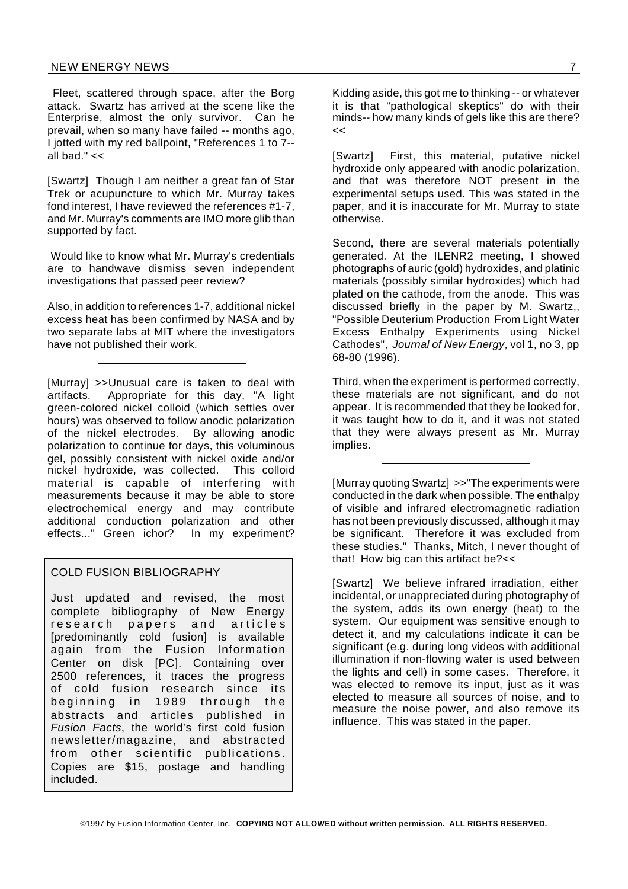Fleet, scattered through space, after the Borg attack. Swartz has arrived at the scene like the Enterprise, almost the only survivor. Can he prevail, when so many have failed -- months ago, I jotted with my red ballpoint, "References 1 to 7- all bad." $<<$ 

[Swartz] Though I am neither a great fan of Star Trek or acupuncture to which Mr. Murray takes fond interest, I have reviewed the references #1-7, and Mr. Murray's comments are IMO more glib than supported by fact.

Would like to know what Mr. Murray's credentials are to handwave dismiss seven independent investigations that passed peer review?

Also, in addition to references 1-7, additional nickel excess heat has been confirmed by NASA and by two separate labs at MIT where the investigators have not published their work.

[Murray] >>Unusual care is taken to deal with artifacts. Appropriate for this day, "A light green-colored nickel colloid (which settles over hours) was observed to follow anodic polarization of the nickel electrodes. By allowing anodic polarization to continue for days, this voluminous gel, possibly consistent with nickel oxide and/or nickel hydroxide, was collected. This colloid material is capable of interfering with measurements because it may be able to store electrochemical energy and may contribute additional conduction polarization and other effects..." Green ichor? In my experiment?

#### COLD FUSION BIBLIOGRAPHY

Just updated and revised, the most complete bibliography of New Energy research papers and articles [predominantly cold fusion] is available again from the Fusion Information Center on disk [PC]. Containing over 2500 references, it traces the progress of cold fusion research since its beginning in 1989 through the abstracts and articles published in *Fusion Facts*, the world's first cold fusion newsletter/magazine, and abstracted from other scientific publications. Copies are \$15, postage and handling included.

Kidding aside, this got me to thinking -- or whatever it is that "pathological skeptics" do with their minds-- how many kinds of gels like this are there? <<

[Swartz] First, this material, putative nickel hydroxide only appeared with anodic polarization, and that was therefore NOT present in the experimental setups used. This was stated in the paper, and it is inaccurate for Mr. Murray to state otherwise.

Second, there are several materials potentially generated. At the ILENR2 meeting, I showed photographs of auric (gold) hydroxides, and platinic materials (possibly similar hydroxides) which had plated on the cathode, from the anode. This was discussed briefly in the paper by M. Swartz,, "Possible Deuterium Production From Light Water Excess Enthalpy Experiments using Nickel Cathodes", *Journal of New Energy*, vol 1, no 3, pp 68-80 (1996).

Third, when the experiment is performed correctly, these materials are not significant, and do not appear. It is recommended that they be looked for, it was taught how to do it, and it was not stated that they were always present as Mr. Murray implies.

[Murray quoting Swartz] >>"The experiments were conducted in the dark when possible. The enthalpy of visible and infrared electromagnetic radiation has not been previously discussed, although it may be significant. Therefore it was excluded from these studies." Thanks, Mitch, I never thought of that! How big can this artifact be?<<

[Swartz] We believe infrared irradiation, either incidental, or unappreciated during photography of the system, adds its own energy (heat) to the system. Our equipment was sensitive enough to detect it, and my calculations indicate it can be significant (e.g. during long videos with additional illumination if non-flowing water is used between the lights and cell) in some cases. Therefore, it was elected to remove its input, just as it was elected to measure all sources of noise, and to measure the noise power, and also remove its influence. This was stated in the paper.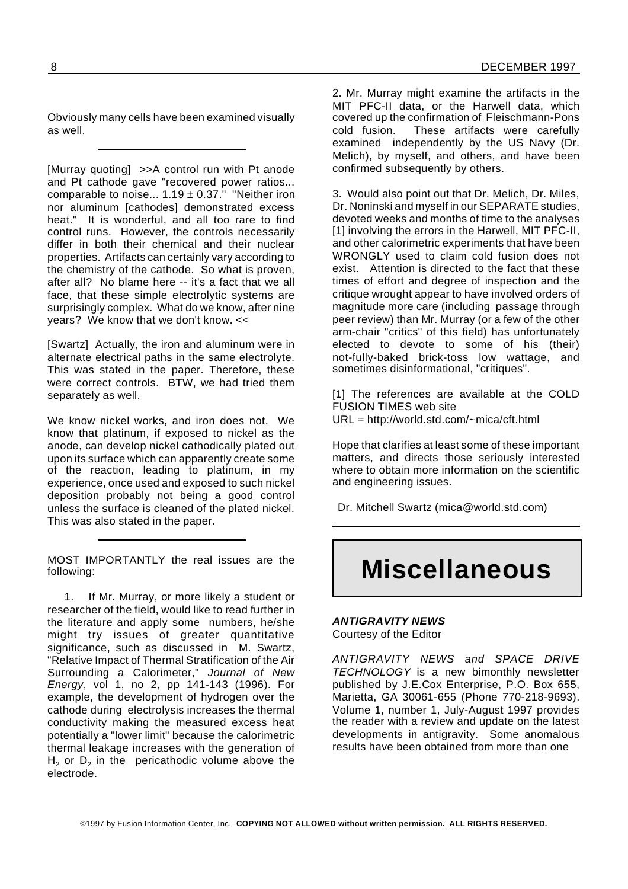Obviously many cells have been examined visually as well.

[Murray quoting] >>A control run with Pt anode and Pt cathode gave "recovered power ratios... comparable to noise...  $1.19 \pm 0.37$ ." "Neither iron nor aluminum [cathodes] demonstrated excess heat." It is wonderful, and all too rare to find control runs. However, the controls necessarily differ in both their chemical and their nuclear properties. Artifacts can certainly vary according to the chemistry of the cathode. So what is proven, after all? No blame here -- it's a fact that we all face, that these simple electrolytic systems are surprisingly complex. What do we know, after nine years? We know that we don't know. <<

[Swartz] Actually, the iron and aluminum were in alternate electrical paths in the same electrolyte. This was stated in the paper. Therefore, these were correct controls. BTW, we had tried them separately as well.

We know nickel works, and iron does not. We know that platinum, if exposed to nickel as the anode, can develop nickel cathodically plated out upon its surface which can apparently create some of the reaction, leading to platinum, in my experience, once used and exposed to such nickel deposition probably not being a good control unless the surface is cleaned of the plated nickel. This was also stated in the paper.

MOST IMPORTANTLY the real issues are the following:

1. If Mr. Murray, or more likely a student or researcher of the field, would like to read further in the literature and apply some numbers, he/she might try issues of greater quantitative significance, such as discussed in M. Swartz, "Relative Impact of Thermal Stratification of the Air Surrounding a Calorimeter," *Journal of New Energy*, vol 1, no 2, pp 141-143 (1996). For example, the development of hydrogen over the cathode during electrolysis increases the thermal conductivity making the measured excess heat potentially a "lower limit" because the calorimetric thermal leakage increases with the generation of  $H_2$  or  $D_2$  in the pericathodic volume above the electrode.

2. Mr. Murray might examine the artifacts in the MIT PFC-II data, or the Harwell data, which covered up the confirmation of Fleischmann-Pons cold fusion. These artifacts were carefully examined independently by the US Navy (Dr. Melich), by myself, and others, and have been confirmed subsequently by others.

3. Would also point out that Dr. Melich, Dr. Miles, Dr. Noninski and myself in our SEPARATE studies, devoted weeks and months of time to the analyses [1] involving the errors in the Harwell, MIT PFC-II, and other calorimetric experiments that have been WRONGLY used to claim cold fusion does not exist. Attention is directed to the fact that these times of effort and degree of inspection and the critique wrought appear to have involved orders of magnitude more care (including passage through peer review) than Mr. Murray (or a few of the other arm-chair "critics" of this field) has unfortunately elected to devote to some of his (their) not-fully-baked brick-toss low wattage, and sometimes disinformational, "critiques".

[1] The references are available at the COLD FUSION TIMES web site URL = http://world.std.com/~mica/cft.html

Hope that clarifies at least some of these important matters, and directs those seriously interested where to obtain more information on the scientific and engineering issues.

Dr. Mitchell Swartz (mica@world.std.com)

## **Miscellaneous**

## *ANTIGRAVITY NEWS*

Courtesy of the Editor

*ANTIGRAVITY NEWS and SPACE DRIVE TECHNOLOGY* is a new bimonthly newsletter published by J.E.Cox Enterprise, P.O. Box 655, Marietta, GA 30061-655 (Phone 770-218-9693). Volume 1, number 1, July-August 1997 provides the reader with a review and update on the latest developments in antigravity. Some anomalous results have been obtained from more than one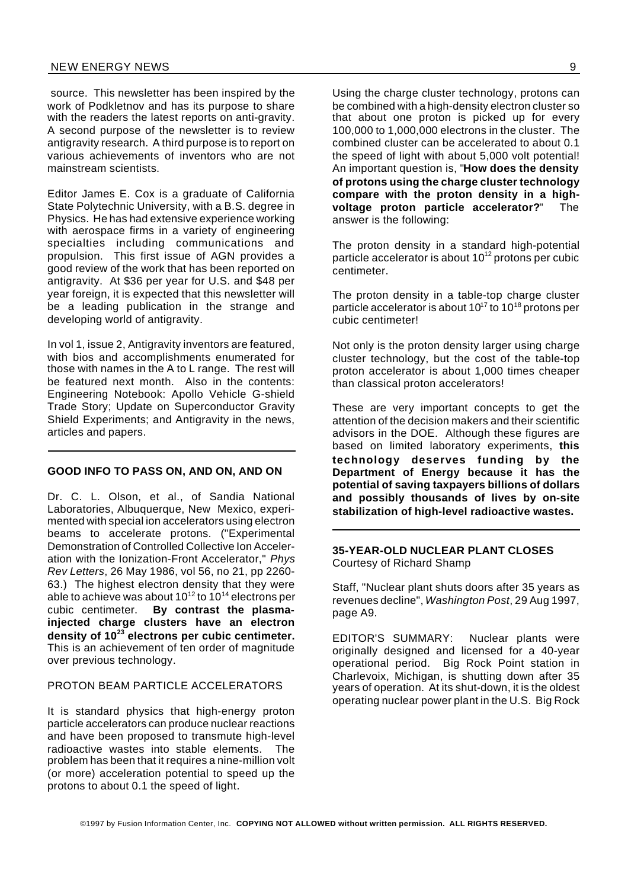source. This newsletter has been inspired by the work of Podkletnov and has its purpose to share with the readers the latest reports on anti-gravity. A second purpose of the newsletter is to review antigravity research. A third purpose is to report on various achievements of inventors who are not mainstream scientists.

Editor James E. Cox is a graduate of California State Polytechnic University, with a B.S. degree in Physics. He has had extensive experience working with aerospace firms in a variety of engineering specialties including communications and propulsion. This first issue of AGN provides a good review of the work that has been reported on antigravity. At \$36 per year for U.S. and \$48 per year foreign, it is expected that this newsletter will be a leading publication in the strange and developing world of antigravity.

In vol 1, issue 2, Antigravity inventors are featured, with bios and accomplishments enumerated for those with names in the A to L range. The rest will be featured next month. Also in the contents: Engineering Notebook: Apollo Vehicle G-shield Trade Story; Update on Superconductor Gravity Shield Experiments; and Antigravity in the news, articles and papers.

#### **GOOD INFO TO PASS ON, AND ON, AND ON**

Dr. C. L. Olson, et al., of Sandia National Laboratories, Albuquerque, New Mexico, experimented with special ion accelerators using electron beams to accelerate protons. ("Experimental Demonstration of Controlled Collective Ion Acceleration with the Ionization-Front Accelerator," *Phys Rev Letters*, 26 May 1986, vol 56, no 21, pp 2260- 63.) The highest electron density that they were able to achieve was about  $10^{12}$  to  $10^{14}$  electrons per cubic centimeter. **By contrast the plasmainjected charge clusters have an electron density of 10<sup>23</sup> electrons per cubic centimeter.** This is an achievement of ten order of magnitude over previous technology.

#### PROTON BEAM PARTICLE ACCELERATORS

It is standard physics that high-energy proton particle accelerators can produce nuclear reactions and have been proposed to transmute high-level radioactive wastes into stable elements. The problem has been that it requires a nine-million volt (or more) acceleration potential to speed up the protons to about 0.1 the speed of light.

Using the charge cluster technology, protons can be combined with a high-density electron cluster so that about one proton is picked up for every 100,000 to 1,000,000 electrons in the cluster. The combined cluster can be accelerated to about 0.1 the speed of light with about 5,000 volt potential! An important question is, "**How does the density of protons using the charge cluster technology compare with the proton density in a highvoltage proton particle accelerator?**" The answer is the following:

The proton density in a standard high-potential particle accelerator is about  $10^{12}$  protons per cubic centimeter.

The proton density in a table-top charge cluster particle accelerator is about 10<sup>17</sup> to 10<sup>18</sup> protons per cubic centimeter!

Not only is the proton density larger using charge cluster technology, but the cost of the table-top proton accelerator is about 1,000 times cheaper than classical proton accelerators!

These are very important concepts to get the attention of the decision makers and their scientific advisors in the DOE. Although these figures are based on limited laboratory experiments, **this technology deserves funding by the Department of Energy because it has the potential of saving taxpayers billions of dollars and possibly thousands of lives by on-site stabilization of high-level radioactive wastes.**

#### **35-YEAR-OLD NUCLEAR PLANT CLOSES** Courtesy of Richard Shamp

Staff, "Nuclear plant shuts doors after 35 years as revenues decline", *Washington Post*, 29 Aug 1997, page A9.

EDITOR'S SUMMARY: Nuclear plants were originally designed and licensed for a 40-year operational period. Big Rock Point station in Charlevoix, Michigan, is shutting down after 35 years of operation. At its shut-down, it is the oldest operating nuclear power plant in the U.S. Big Rock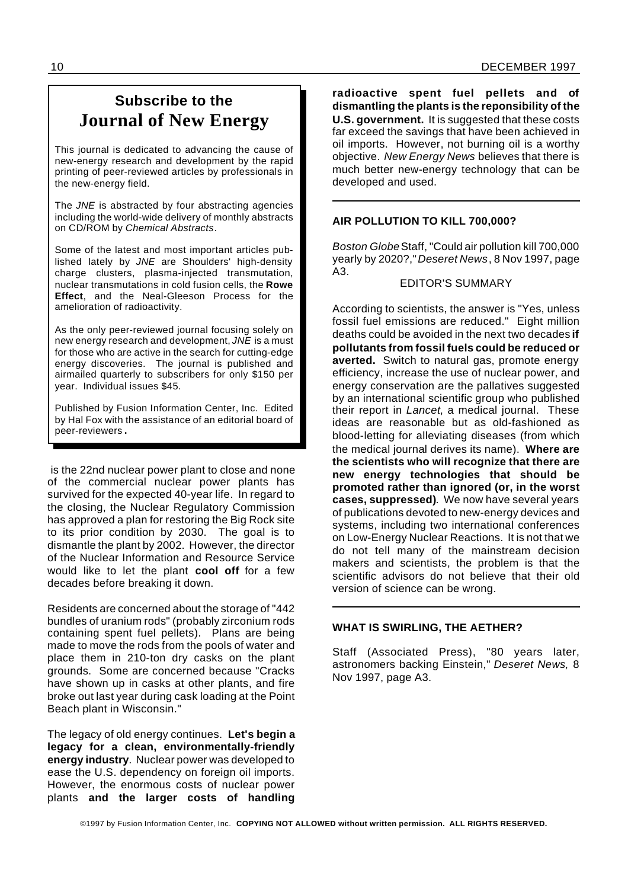## **Subscribe to the Journal of New Energy**

This journal is dedicated to advancing the cause of new-energy research and development by the rapid printing of peer-reviewed articles by professionals in the new-energy field.

The *JNE* is abstracted by four abstracting agencies including the world-wide delivery of monthly abstracts on CD/ROM by *Chemical Abstracts*.

Some of the latest and most important articles published lately by *JNE* are Shoulders' high-density charge clusters, plasma-injected transmutation, nuclear transmutations in cold fusion cells, the **Rowe Effect**, and the Neal-Gleeson Process for the amelioration of radioactivity.

As the only peer-reviewed journal focusing solely on new energy research and development, *JNE* is a must for those who are active in the search for cutting-edge energy discoveries. The journal is published and airmailed quarterly to subscribers for only \$150 per year. Individual issues \$45.

Published by Fusion Information Center, Inc. Edited by Hal Fox with the assistance of an editorial board of peer-reviewers.

is the 22nd nuclear power plant to close and none of the commercial nuclear power plants has survived for the expected 40-year life. In regard to the closing, the Nuclear Regulatory Commission has approved a plan for restoring the Big Rock site to its prior condition by 2030. The goal is to dismantle the plant by 2002. However, the director of the Nuclear Information and Resource Service would like to let the plant **cool off** for a few decades before breaking it down.

Residents are concerned about the storage of "442 bundles of uranium rods" (probably zirconium rods containing spent fuel pellets). Plans are being made to move the rods from the pools of water and place them in 210-ton dry casks on the plant grounds. Some are concerned because "Cracks have shown up in casks at other plants, and fire broke out last year during cask loading at the Point Beach plant in Wisconsin."

The legacy of old energy continues. **Let's begin a legacy for a clean, environmentally-friendly energy industry**. Nuclear power was developed to ease the U.S. dependency on foreign oil imports. However, the enormous costs of nuclear power plants **and the larger costs of handling**

**radioactive spent fuel pellets and of dismantling the plants is the reponsibility of the U.S. government.** It is suggested that these costs far exceed the savings that have been achieved in oil imports. However, not burning oil is a worthy objective. *New Energy News* believes that there is much better new-energy technology that can be developed and used.

#### **AIR POLLUTION TO KILL 700,000?**

*Boston Globe*Staff, "Could air pollution kill 700,000 yearly by 2020?,"*Deseret News*, 8 Nov 1997, page A3.

#### EDITOR'S SUMMARY

According to scientists, the answer is "Yes, unless fossil fuel emissions are reduced." Eight million deaths could be avoided in the next two decades **if pollutants from fossil fuels could be reduced or averted.** Switch to natural gas, promote energy efficiency, increase the use of nuclear power, and energy conservation are the pallatives suggested by an international scientific group who published their report in *Lancet*, a medical journal. These ideas are reasonable but as old-fashioned as blood-letting for alleviating diseases (from which the medical journal derives its name). **Where are the scientists who will recognize that there are new energy technologies that should be promoted rather than ignored (or, in the worst cases, suppressed)**. We now have several years of publications devoted to new-energy devices and systems, including two international conferences on Low-Energy Nuclear Reactions. It is not that we do not tell many of the mainstream decision makers and scientists, the problem is that the scientific advisors do not believe that their old version of science can be wrong.

#### **WHAT IS SWIRLING, THE AETHER?**

Staff (Associated Press), "80 years later, astronomers backing Einstein," *Deseret News,* 8 Nov 1997, page A3.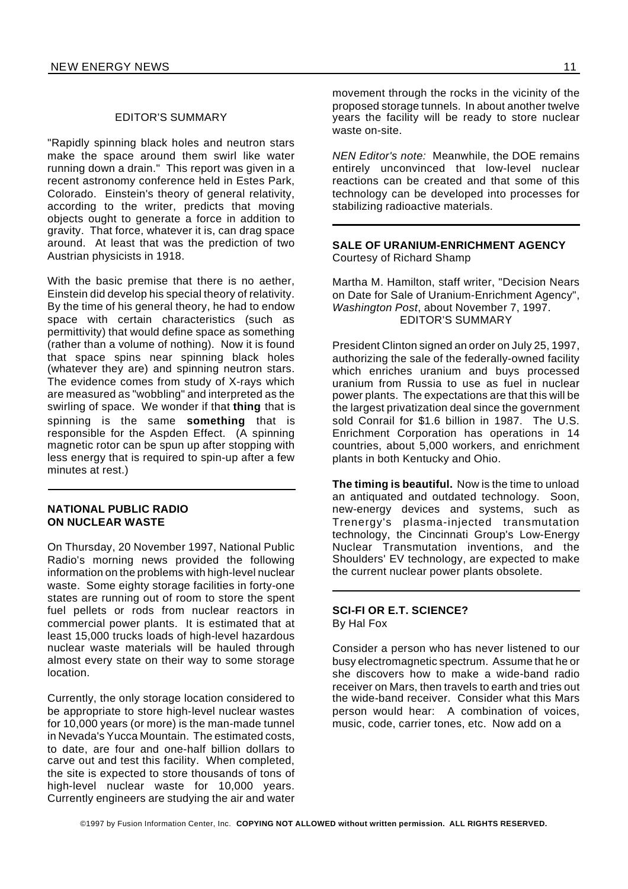#### EDITOR'S SUMMARY

"Rapidly spinning black holes and neutron stars make the space around them swirl like water running down a drain." This report was given in a recent astronomy conference held in Estes Park, Colorado. Einstein's theory of general relativity, according to the writer, predicts that moving objects ought to generate a force in addition to gravity. That force, whatever it is, can drag space around. At least that was the prediction of two Austrian physicists in 1918.

With the basic premise that there is no aether, Einstein did develop his special theory of relativity. By the time of his general theory, he had to endow space with certain characteristics (such as permittivity) that would define space as something (rather than a volume of nothing). Now it is found that space spins near spinning black holes (whatever they are) and spinning neutron stars. The evidence comes from study of X-rays which are measured as "wobbling" and interpreted as the swirling of space. We wonder if that **thing** that is spinning is the same **something** that is responsible for the Aspden Effect. (A spinning magnetic rotor can be spun up after stopping with less energy that is required to spin-up after a few minutes at rest.)

#### **NATIONAL PUBLIC RADIO ON NUCLEAR WASTE**

On Thursday, 20 November 1997, National Public Radio's morning news provided the following information on the problems with high-level nuclear waste. Some eighty storage facilities in forty-one states are running out of room to store the spent fuel pellets or rods from nuclear reactors in commercial power plants. It is estimated that at least 15,000 trucks loads of high-level hazardous nuclear waste materials will be hauled through almost every state on their way to some storage location.

Currently, the only storage location considered to be appropriate to store high-level nuclear wastes for 10,000 years (or more) is the man-made tunnel in Nevada's Yucca Mountain. The estimated costs, to date, are four and one-half billion dollars to carve out and test this facility. When completed, the site is expected to store thousands of tons of high-level nuclear waste for 10,000 years. Currently engineers are studying the air and water

movement through the rocks in the vicinity of the proposed storage tunnels. In about another twelve years the facility will be ready to store nuclear waste on-site.

*NEN Editor's note:* Meanwhile, the DOE remains entirely unconvinced that low-level nuclear reactions can be created and that some of this technology can be developed into processes for stabilizing radioactive materials.

#### **SALE OF URANIUM-ENRICHMENT AGENCY** Courtesy of Richard Shamp

Martha M. Hamilton, staff writer, "Decision Nears on Date for Sale of Uranium-Enrichment Agency", *Washington Post*, about November 7, 1997. EDITOR'S SUMMARY

President Clinton signed an order on July 25, 1997, authorizing the sale of the federally-owned facility which enriches uranium and buys processed uranium from Russia to use as fuel in nuclear power plants. The expectations are that this will be the largest privatization deal since the government sold Conrail for \$1.6 billion in 1987. The U.S. Enrichment Corporation has operations in 14 countries, about 5,000 workers, and enrichment plants in both Kentucky and Ohio.

**The timing is beautiful.** Now is the time to unload an antiquated and outdated technology. Soon, new-energy devices and systems, such as Trenergy's plasma-injected transmutation technology, the Cincinnati Group's Low-Energy Nuclear Transmutation inventions, and the Shoulders' EV technology, are expected to make the current nuclear power plants obsolete.

#### **SCI-FI OR E.T. SCIENCE?** By Hal Fox

Consider a person who has never listened to our busy electromagnetic spectrum. Assume that he or she discovers how to make a wide-band radio receiver on Mars, then travels to earth and tries out the wide-band receiver. Consider what this Mars person would hear: A combination of voices, music, code, carrier tones, etc. Now add on a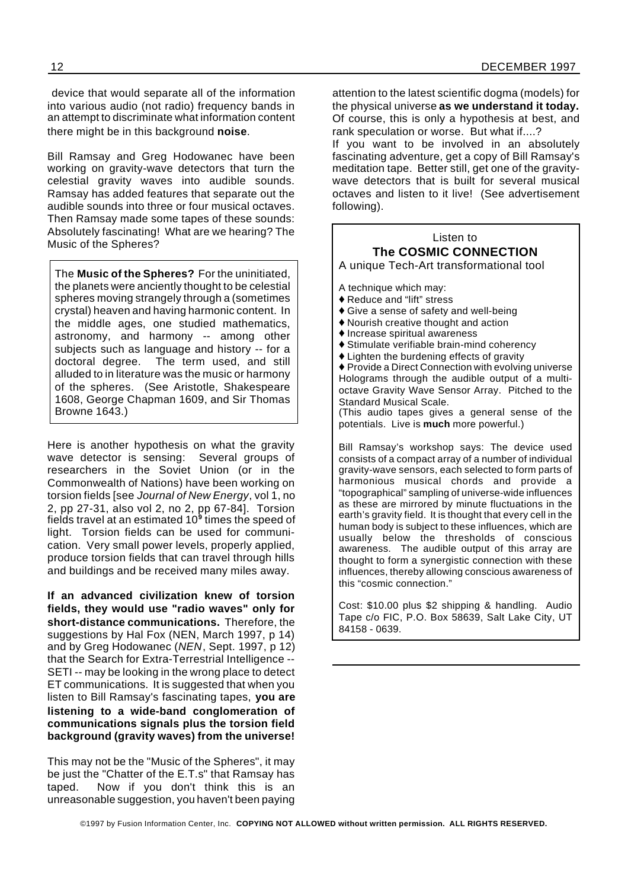device that would separate all of the information into various audio (not radio) frequency bands in an attempt to discriminate what information content there might be in this background **noise**.

Bill Ramsay and Greg Hodowanec have been working on gravity-wave detectors that turn the celestial gravity waves into audible sounds. Ramsay has added features that separate out the audible sounds into three or four musical octaves. Then Ramsay made some tapes of these sounds: Absolutely fascinating! What are we hearing? The Music of the Spheres?

The **Music of the Spheres?** For the uninitiated, the planets were anciently thought to be celestial spheres moving strangely through a (sometimes crystal) heaven and having harmonic content. In the middle ages, one studied mathematics, astronomy, and harmony -- among other subjects such as language and history -- for a doctoral degree. The term used, and still alluded to in literature was the music or harmony of the spheres. (See Aristotle, Shakespeare 1608, George Chapman 1609, and Sir Thomas Browne 1643.)

Here is another hypothesis on what the gravity wave detector is sensing: Several groups of researchers in the Soviet Union (or in the Commonwealth of Nations) have been working on torsion fields [see *Journal of New Energy*, vol 1, no 2, pp 27-31, also vol 2, no 2, pp 67-84]. Torsion fields travel at an estimated 10**<sup>9</sup>** times the speed of light. Torsion fields can be used for communication. Very small power levels, properly applied, produce torsion fields that can travel through hills and buildings and be received many miles away.

**If an advanced civilization knew of torsion fields, they would use "radio waves" only for short-distance communications.** Therefore, the suggestions by Hal Fox (NEN, March 1997, p 14) and by Greg Hodowanec (*NEN*, Sept. 1997, p 12) that the Search for Extra-Terrestrial Intelligence -- SETI -- may be looking in the wrong place to detect ET communications. It is suggested that when you listen to Bill Ramsay's fascinating tapes, **you are listening to a wide-band conglomeration of communications signals plus the torsion field background (gravity waves) from the universe!**

This may not be the "Music of the Spheres", it may be just the "Chatter of the E.T.s" that Ramsay has taped. Now if you don't think this is an unreasonable suggestion, you haven't been paying

attention to the latest scientific dogma (models) for the physical universe **as we understand it today.** Of course, this is only a hypothesis at best, and rank speculation or worse. But what if....?

If you want to be involved in an absolutely fascinating adventure, get a copy of Bill Ramsay's meditation tape. Better still, get one of the gravitywave detectors that is built for several musical octaves and listen to it live! (See advertisement following).

#### Listen to **The COSMIC CONNECTION** A unique Tech-Art transformational tool

A technique which may:

- ♦ Reduce and "lift" stress
- $\blacklozenge$  Give a sense of safety and well-being
- $\blacklozenge$  Nourish creative thought and action
- $\blacklozenge$  Increase spiritual awareness
- $\blacklozenge$  Stimulate verifiable brain-mind coherency
- $\triangle$  Lighten the burdening effects of gravity

 $\blacklozenge$  Provide a Direct Connection with evolving universe Holograms through the audible output of a multioctave Gravity Wave Sensor Array. Pitched to the Standard Musical Scale.

(This audio tapes gives a general sense of the potentials. Live is **much** more powerful.)

Bill Ramsay's workshop says: The device used consists of a compact array of a number of individual gravity-wave sensors, each selected to form parts of harmonious musical chords and provide a "topographical" sampling of universe-wide influences as these are mirrored by minute fluctuations in the earth's gravity field. It is thought that every cell in the human body is subject to these influences, which are usually below the thresholds of conscious awareness. The audible output of this array are thought to form a synergistic connection with these influences, thereby allowing conscious awareness of this "cosmic connection."

Cost: \$10.00 plus \$2 shipping & handling. Audio Tape c/o FIC, P.O. Box 58639, Salt Lake City, UT 84158 - 0639.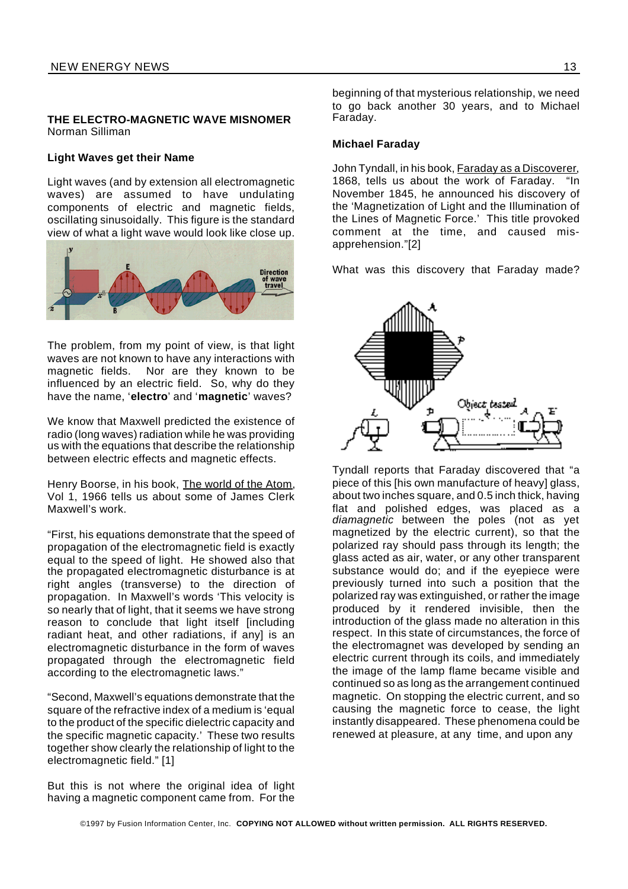#### **THE ELECTRO-MAGNETIC WAVE MISNOMER** Norman Silliman

#### **Light Waves get their Name**

Light waves (and by extension all electromagnetic waves) are assumed to have undulating components of electric and magnetic fields, oscillating sinusoidally. This figure is the standard view of what a light wave would look like close up.



The problem, from my point of view, is that light waves are not known to have any interactions with magnetic fields. Nor are they known to be influenced by an electric field. So, why do they have the name, '**electro**' and '**magnetic**' waves?

We know that Maxwell predicted the existence of radio (long waves) radiation while he was providing us with the equations that describe the relationship between electric effects and magnetic effects.

Henry Boorse, in his book, The world of the Atom, Vol 1, 1966 tells us about some of James Clerk Maxwell's work.

"First, his equations demonstrate that the speed of propagation of the electromagnetic field is exactly equal to the speed of light. He showed also that the propagated electromagnetic disturbance is at right angles (transverse) to the direction of propagation. In Maxwell's words 'This velocity is so nearly that of light, that it seems we have strong reason to conclude that light itself [including radiant heat, and other radiations, if any] is an electromagnetic disturbance in the form of waves propagated through the electromagnetic field according to the electromagnetic laws."

"Second, Maxwell's equations demonstrate that the square of the refractive index of a medium is 'equal to the product of the specific dielectric capacity and the specific magnetic capacity.' These two results together show clearly the relationship of light to the electromagnetic field." [1]

But this is not where the original idea of light having a magnetic component came from. For the beginning of that mysterious relationship, we need to go back another 30 years, and to Michael Faraday.

#### **Michael Faraday**

John Tyndall, in his book, Faraday as a Discoverer, 1868, tells us about the work of Faraday. "In November 1845, he announced his discovery of the 'Magnetization of Light and the Illumination of the Lines of Magnetic Force.' This title provoked comment at the time, and caused misapprehension."[2]

What was this discovery that Faraday made?



Tyndall reports that Faraday discovered that "a piece of this [his own manufacture of heavy] glass, about two inches square, and 0.5 inch thick, having flat and polished edges, was placed as a *diamagnetic* between the poles (not as yet magnetized by the electric current), so that the polarized ray should pass through its length; the glass acted as air, water, or any other transparent substance would do; and if the eyepiece were previously turned into such a position that the polarized ray was extinguished, or rather the image produced by it rendered invisible, then the introduction of the glass made no alteration in this respect. In this state of circumstances, the force of the electromagnet was developed by sending an electric current through its coils, and immediately the image of the lamp flame became visible and continued so as long as the arrangement continued magnetic. On stopping the electric current, and so causing the magnetic force to cease, the light instantly disappeared. These phenomena could be renewed at pleasure, at any time, and upon any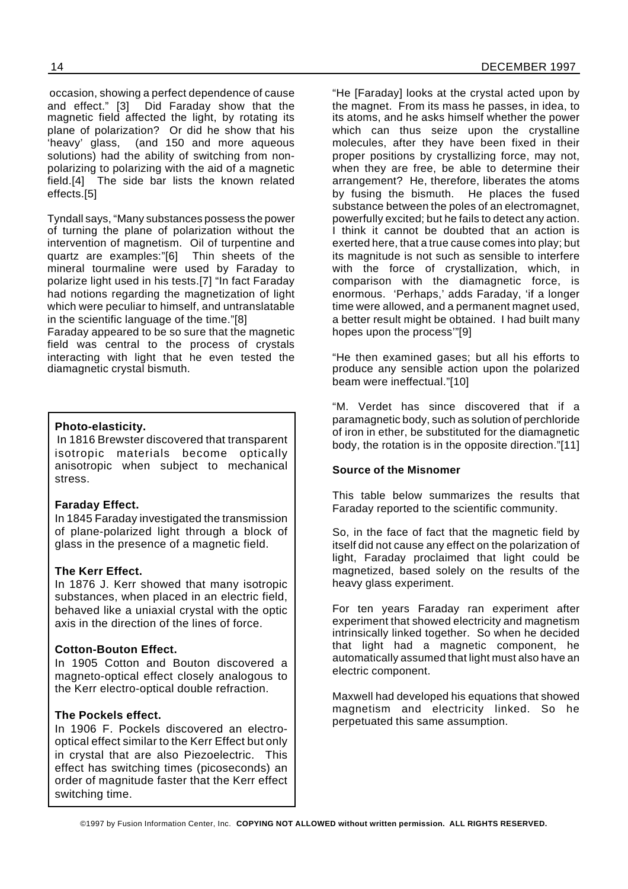occasion, showing a perfect dependence of cause and effect." [3] Did Faraday show that the magnetic field affected the light, by rotating its plane of polarization? Or did he show that his 'heavy' glass, (and 150 and more aqueous solutions) had the ability of switching from nonpolarizing to polarizing with the aid of a magnetic field.[4] The side bar lists the known related effects.[5]

Tyndall says, "Many substances possess the power of turning the plane of polarization without the intervention of magnetism. Oil of turpentine and quartz are examples:"[6] Thin sheets of the mineral tourmaline were used by Faraday to polarize light used in his tests.[7] "In fact Faraday had notions regarding the magnetization of light which were peculiar to himself, and untranslatable in the scientific language of the time."[8]

Faraday appeared to be so sure that the magnetic field was central to the process of crystals interacting with light that he even tested the diamagnetic crystal bismuth.

#### **Photo-elasticity.**

In 1816 Brewster discovered that transparent isotropic materials become optically anisotropic when subject to mechanical stress.

#### **Faraday Effect.**

In 1845 Faraday investigated the transmission of plane-polarized light through a block of glass in the presence of a magnetic field.

#### **The Kerr Effect.**

In 1876 J. Kerr showed that many isotropic substances, when placed in an electric field, behaved like a uniaxial crystal with the optic axis in the direction of the lines of force.

#### **Cotton-Bouton Effect.**

In 1905 Cotton and Bouton discovered a magneto-optical effect closely analogous to the Kerr electro-optical double refraction.

#### **The Pockels effect.**

In 1906 F. Pockels discovered an electrooptical effect similar to the Kerr Effect but only in crystal that are also Piezoelectric. This effect has switching times (picoseconds) an order of magnitude faster that the Kerr effect switching time.

"He [Faraday] looks at the crystal acted upon by the magnet. From its mass he passes, in idea, to its atoms, and he asks himself whether the power which can thus seize upon the crystalline molecules, after they have been fixed in their proper positions by crystallizing force, may not, when they are free, be able to determine their arrangement? He, therefore, liberates the atoms by fusing the bismuth. He places the fused substance between the poles of an electromagnet, powerfully excited; but he fails to detect any action. I think it cannot be doubted that an action is exerted here, that a true cause comes into play; but its magnitude is not such as sensible to interfere with the force of crystallization, which, in comparison with the diamagnetic force, is enormous. 'Perhaps,' adds Faraday, 'if a longer time were allowed, and a permanent magnet used, a better result might be obtained. I had built many hopes upon the process'"[9]

"He then examined gases; but all his efforts to produce any sensible action upon the polarized beam were ineffectual."[10]

"M. Verdet has since discovered that if a paramagnetic body, such as solution of perchloride of iron in ether, be substituted for the diamagnetic body, the rotation is in the opposite direction."[11]

#### **Source of the Misnomer**

This table below summarizes the results that Faraday reported to the scientific community.

So, in the face of fact that the magnetic field by itself did not cause any effect on the polarization of light, Faraday proclaimed that light could be magnetized, based solely on the results of the heavy glass experiment.

For ten years Faraday ran experiment after experiment that showed electricity and magnetism intrinsically linked together. So when he decided that light had a magnetic component, he automatically assumed that light must also have an electric component.

Maxwell had developed his equations that showed magnetism and electricity linked. So he perpetuated this same assumption.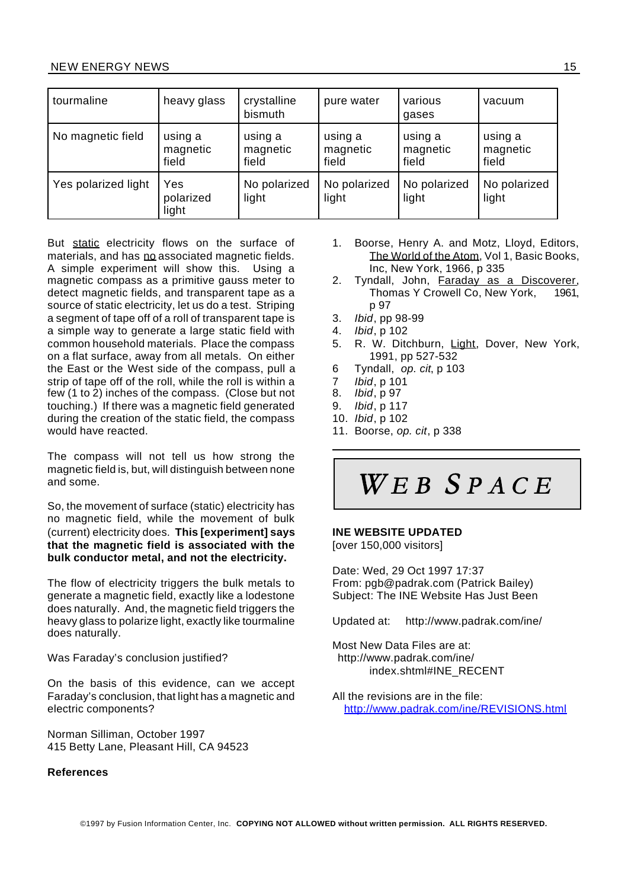| tourmaline          | heavy glass                  | crystalline<br>bismuth       | pure water                   | various<br>gases             | vacuum                       |
|---------------------|------------------------------|------------------------------|------------------------------|------------------------------|------------------------------|
| No magnetic field   | using a<br>magnetic<br>field | using a<br>magnetic<br>field | using a<br>magnetic<br>field | using a<br>magnetic<br>field | using a<br>magnetic<br>field |
| Yes polarized light | Yes<br>polarized<br>light    | No polarized<br>light        | No polarized<br>light        | No polarized<br>light        | No polarized<br>light        |

But static electricity flows on the surface of materials, and has no associated magnetic fields. A simple experiment will show this. Using a magnetic compass as a primitive gauss meter to detect magnetic fields, and transparent tape as a source of static electricity, let us do a test. Striping a segment of tape off of a roll of transparent tape is a simple way to generate a large static field with common household materials. Place the compass on a flat surface, away from all metals. On either the East or the West side of the compass, pull a strip of tape off of the roll, while the roll is within a few (1 to 2) inches of the compass. (Close but not touching.) If there was a magnetic field generated during the creation of the static field, the compass would have reacted.

The compass will not tell us how strong the magnetic field is, but, will distinguish between none and some.

So, the movement of surface (static) electricity has no magnetic field, while the movement of bulk (current) electricity does. **This [experiment] says that the magnetic field is associated with the bulk conductor metal, and not the electricity.**

The flow of electricity triggers the bulk metals to generate a magnetic field, exactly like a lodestone does naturally. And, the magnetic field triggers the heavy glass to polarize light, exactly like tourmaline does naturally.

Was Faraday's conclusion justified?

On the basis of this evidence, can we accept Faraday's conclusion, that light has a magnetic and electric components?

Norman Silliman, October 1997 415 Betty Lane, Pleasant Hill, CA 94523

#### **References**

- 1. Boorse, Henry A. and Motz, Lloyd, Editors, The World of the Atom, Vol 1, Basic Books, Inc, New York, 1966, p 335
- 2. Tyndall, John, Faraday as a Discoverer, Thomas Y Crowell Co, New York, 1961, p 97
- 3. *Ibid*, pp 98-99
- 4. *Ibid*, p 102
- 5. R. W. Ditchburn, Light, Dover, New York, 1991, pp 527-532
- 6 Tyndall, *op. cit*, p 103
- 7 *Ibid*, p 101
- 8. *Ibid*, p 97
- 9. *Ibid*, p 117
- 10. *Ibid*, p 102
- 11. Boorse, *op. cit*, p 338

## $WEB$  SPACE

#### **INE WEBSITE UPDATED**

[over 150,000 visitors]

Date: Wed, 29 Oct 1997 17:37 From: pgb@padrak.com (Patrick Bailey) Subject: The INE Website Has Just Been

Updated at: http://www.padrak.com/ine/

Most New Data Files are at: http://www.padrak.com/ine/ index.shtml#INE\_RECENT

All the revisions are in the file: http://www.padrak.com/ine/REVISIONS.html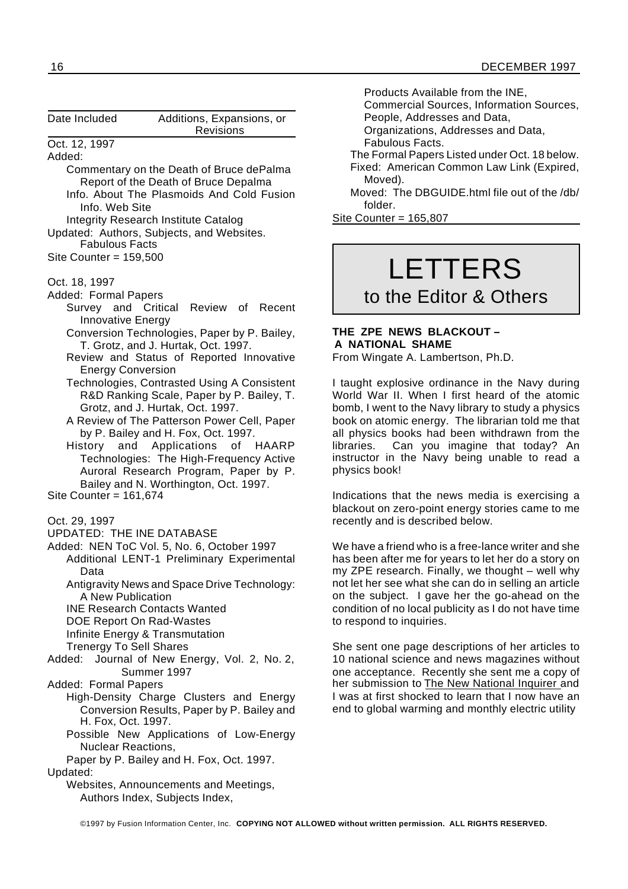| Date Included                                                      | Additions, Expansions, or<br>Revisions                                                   |              |
|--------------------------------------------------------------------|------------------------------------------------------------------------------------------|--------------|
| Oct. 12, 1997                                                      |                                                                                          |              |
| Added:                                                             |                                                                                          |              |
|                                                                    | Commentary on the Death of Bruce dePalma                                                 |              |
|                                                                    | Report of the Death of Bruce Depalma                                                     |              |
| Info. Web Site                                                     | Info. About The Plasmoids And Cold Fusion                                                |              |
| <b>Integrity Research Institute Catalog</b>                        |                                                                                          | Site         |
| Updated: Authors, Subjects, and Websites.<br><b>Fabulous Facts</b> |                                                                                          |              |
| Site Counter = $159,500$                                           |                                                                                          |              |
|                                                                    |                                                                                          |              |
| Oct. 18, 1997                                                      |                                                                                          |              |
| Added: Formal Papers                                               |                                                                                          |              |
| Survey and Critical Review of                                      | Recent                                                                                   |              |
| Innovative Energy                                                  |                                                                                          |              |
|                                                                    | Conversion Technologies, Paper by P. Bailey,                                             | THE          |
| T. Grotz, and J. Hurtak, Oct. 1997.                                |                                                                                          | A N          |
|                                                                    | Review and Status of Reported Innovative                                                 | Fror         |
| <b>Energy Conversion</b>                                           |                                                                                          |              |
|                                                                    | Technologies, Contrasted Using A Consistent<br>R&D Ranking Scale, Paper by P. Bailey, T. | I tai<br>Wor |
| Grotz, and J. Hurtak, Oct. 1997.                                   |                                                                                          | bom          |
|                                                                    | A Review of The Patterson Power Cell, Paper                                              | boo          |
| by P. Bailey and H. Fox, Oct. 1997.                                |                                                                                          | all p        |
| and Applications<br>History                                        | of HAARP                                                                                 | libra        |
|                                                                    | Technologies: The High-Frequency Active                                                  | insti        |
|                                                                    | Auroral Research Program, Paper by P.                                                    | phy:         |
|                                                                    | Bailey and N. Worthington, Oct. 1997.                                                    |              |
| Site Counter = $161,674$                                           |                                                                                          | Indi<br>blac |
| Oct. 29, 1997                                                      |                                                                                          | $r$ ece      |
| <b>UPDATED: THE INE DATABASE</b>                                   |                                                                                          |              |
| Added: NEN ToC Vol. 5, No. 6, October 1997                         |                                                                                          | We.          |
|                                                                    | Additional LENT-1 Preliminary Experimental                                               | has          |
| Data                                                               |                                                                                          | my .         |
|                                                                    | Antigravity News and Space Drive Technology:                                             | not l        |
| A New Publication                                                  |                                                                                          | on t         |
| <b>INE Research Contacts Wanted</b>                                |                                                                                          | con          |
| DOE Report On Rad-Wastes                                           |                                                                                          | to re        |
| Infinite Energy & Transmutation<br><b>Trenergy To Sell Shares</b>  |                                                                                          | She          |
| Added:                                                             | Journal of New Energy, Vol. 2, No. 2,                                                    | 10r          |
| Summer 1997                                                        |                                                                                          | one          |
| Added: Formal Papers                                               |                                                                                          | her          |
|                                                                    | High-Density Charge Clusters and Energy                                                  | I wa         |
|                                                                    | Conversion Results, Paper by P. Bailey and                                               | end          |
| H. Fox, Oct. 1997.                                                 |                                                                                          |              |
|                                                                    | Possible New Applications of Low-Energy                                                  |              |
| <b>Nuclear Reactions,</b>                                          |                                                                                          |              |
|                                                                    | Paper by P. Bailey and H. Fox, Oct. 1997.                                                |              |
| Updated:                                                           |                                                                                          |              |
| Authors Index, Subjects Index,                                     | Websites, Announcements and Meetings,                                                    |              |
|                                                                    |                                                                                          |              |

Products Available from the INE,

Commercial Sources, Information Sources, People, Addresses and Data,

Organizations, Addresses and Data,

Fabulous Facts.

The Formal Papers Listed under Oct. 18 below. Fixed: American Common Law Link (Expired,

Moved). Moved: The DBGUIDE.html file out of the /db/ folder.

Counter =  $165,807$ 

# LETTERS

## to the Editor & Others

#### **E ZPE NEWS BLACKOUT – A NATIONAL SHAME**

m Wingate A. Lambertson, Ph.D.

ught explosive ordinance in the Navy during rld War II. When I first heard of the atomic nb, I went to the Navy library to study a physics k on atomic energy. The librarian told me that physics books had been withdrawn from the aries. Can you imagine that today? An ructor in the Navy being unable to read a sics book!

cations that the news media is exercising a kout on zero-point energy stories came to me ently and is described below.

have a friend who is a free-lance writer and she been after me for years to let her do a story on  $ZPE$  research. Finally, we thought – well why let her see what she can do in selling an article the subject. I gave her the go-ahead on the dition of no local publicity as I do not have time espond to inquiries.

sent one page descriptions of her articles to national science and news magazines without acceptance. Recently she sent me a copy of submission to The New National Inquirer and is at first shocked to learn that I now have an to global warming and monthly electric utility

©1997 by Fusion Information Center, Inc. **COPYING NOT ALLOWED without written permission. ALL RIGHTS RESERVED.**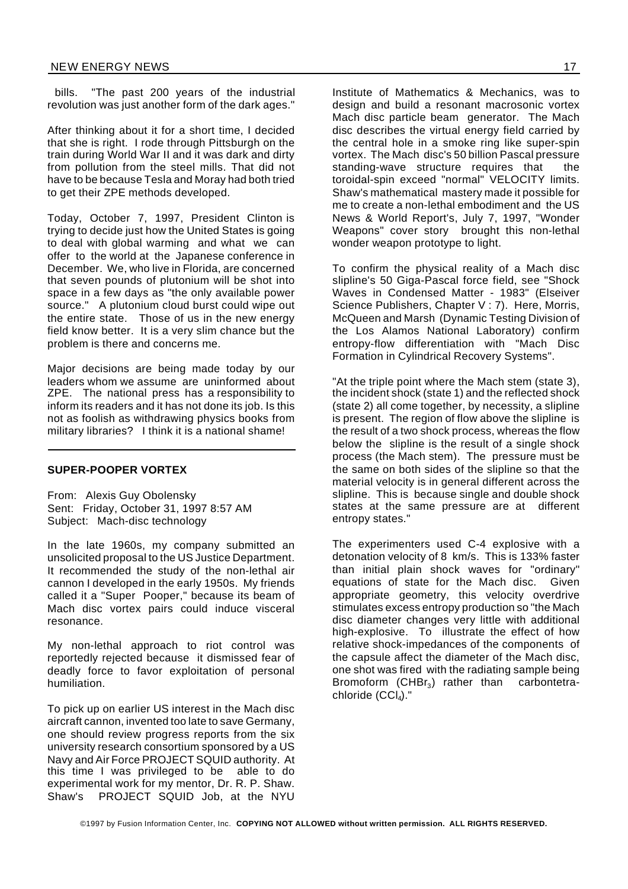bills. "The past 200 years of the industrial revolution was just another form of the dark ages."

After thinking about it for a short time, I decided that she is right. I rode through Pittsburgh on the train during World War II and it was dark and dirty from pollution from the steel mills. That did not have to be because Tesla and Moray had both tried to get their ZPE methods developed.

Today, October 7, 1997, President Clinton is trying to decide just how the United States is going to deal with global warming and what we can offer to the world at the Japanese conference in December. We, who live in Florida, are concerned that seven pounds of plutonium will be shot into space in a few days as "the only available power source." A plutonium cloud burst could wipe out the entire state. Those of us in the new energy field know better. It is a very slim chance but the problem is there and concerns me.

Major decisions are being made today by our leaders whom we assume are uninformed about ZPE. The national press has a responsibility to inform its readers and it has not done its job. Is this not as foolish as withdrawing physics books from military libraries? I think it is a national shame!

#### **SUPER-POOPER VORTEX**

From: Alexis Guy Obolensky Sent: Friday, October 31, 1997 8:57 AM Subject: Mach-disc technology

In the late 1960s, my company submitted an unsolicited proposal to the US Justice Department. It recommended the study of the non-lethal air cannon I developed in the early 1950s. My friends called it a "Super Pooper," because its beam of Mach disc vortex pairs could induce visceral resonance.

My non-lethal approach to riot control was reportedly rejected because it dismissed fear of deadly force to favor exploitation of personal humiliation.

To pick up on earlier US interest in the Mach disc aircraft cannon, invented too late to save Germany, one should review progress reports from the six university research consortium sponsored by a US Navy and Air Force PROJECT SQUID authority. At this time I was privileged to be able to do experimental work for my mentor, Dr. R. P. Shaw. Shaw's PROJECT SQUID Job, at the NYU

Institute of Mathematics & Mechanics, was to design and build a resonant macrosonic vortex Mach disc particle beam generator. The Mach disc describes the virtual energy field carried by the central hole in a smoke ring like super-spin vortex. The Mach disc's 50 billion Pascal pressure standing-wave structure requires that the toroidal-spin exceed "normal" VELOCITY limits. Shaw's mathematical mastery made it possible for me to create a non-lethal embodiment and the US News & World Report's, July 7, 1997, "Wonder Weapons" cover story brought this non-lethal wonder weapon prototype to light.

To confirm the physical reality of a Mach disc slipline's 50 Giga-Pascal force field, see "Shock Waves in Condensed Matter - 1983" (Elseiver Science Publishers, Chapter V : 7). Here, Morris, McQueen and Marsh (Dynamic Testing Division of the Los Alamos National Laboratory) confirm entropy-flow differentiation with "Mach Disc Formation in Cylindrical Recovery Systems".

"At the triple point where the Mach stem (state 3), the incident shock (state 1) and the reflected shock (state 2) all come together, by necessity, a slipline is present. The region of flow above the slipline is the result of a two shock process, whereas the flow below the slipline is the result of a single shock process (the Mach stem). The pressure must be the same on both sides of the slipline so that the material velocity is in general different across the slipline. This is because single and double shock states at the same pressure are at different entropy states."

The experimenters used C-4 explosive with a detonation velocity of 8 km/s. This is 133% faster than initial plain shock waves for "ordinary" equations of state for the Mach disc. Given appropriate geometry, this velocity overdrive stimulates excess entropy production so "the Mach disc diameter changes very little with additional high-explosive. To illustrate the effect of how relative shock-impedances of the components of the capsule affect the diameter of the Mach disc, one shot was fired with the radiating sample being Bromoform (CHBr<sub>3</sub>) rather than carbontetrachloride (CCl<sub>4</sub>)."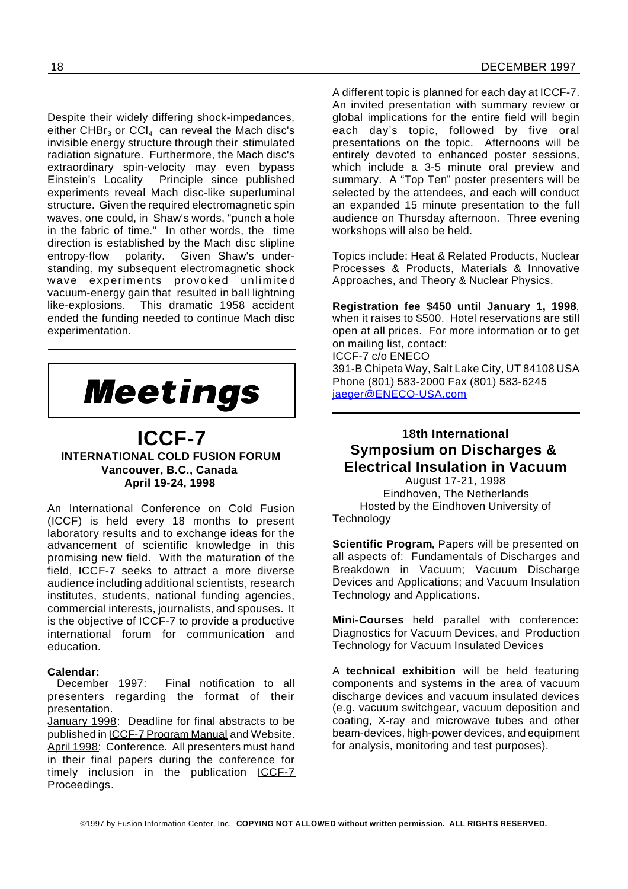Despite their widely differing shock-impedances, either CHB $r_3$  or CCl<sub>4</sub> can reveal the Mach disc's invisible energy structure through their stimulated radiation signature. Furthermore, the Mach disc's extraordinary spin-velocity may even bypass Einstein's Locality Principle since published experiments reveal Mach disc-like superluminal structure. Given the required electromagnetic spin waves, one could, in Shaw's words, "punch a hole in the fabric of time." In other words, the time direction is established by the Mach disc slipline entropy-flow polarity. Given Shaw's understanding, my subsequent electromagnetic shock wave experiments provoked unlimited vacuum-energy gain that resulted in ball lightning like-explosions. This dramatic 1958 accident ended the funding needed to continue Mach disc experimentation.



### **ICCF-7 INTERNATIONAL COLD FUSION FORUM Vancouver, B.C., Canada April 19-24, 1998**

An International Conference on Cold Fusion (ICCF) is held every 18 months to present laboratory results and to exchange ideas for the advancement of scientific knowledge in this promising new field. With the maturation of the field, ICCF-7 seeks to attract a more diverse audience including additional scientists, research institutes, students, national funding agencies, commercial interests, journalists, and spouses. It is the objective of ICCF-7 to provide a productive international forum for communication and education.

Calendar:<br>December 1997: Final notification to all presenters regarding the format of their presentation.

January 1998: Deadline for final abstracts to be published in ICCF-7 Program Manual and Website. April 1998: Conference. All presenters must hand in their final papers during the conference for timely inclusion in the publication ICCF-7 Proceedings.

A different topic is planned for each day at ICCF-7. An invited presentation with summary review or global implications for the entire field will begin each day's topic, followed by five oral presentations on the topic. Afternoons will be entirely devoted to enhanced poster sessions, which include a 3-5 minute oral preview and summary. A "Top Ten" poster presenters will be selected by the attendees, and each will conduct an expanded 15 minute presentation to the full audience on Thursday afternoon. Three evening workshops will also be held.

Topics include: Heat & Related Products, Nuclear Processes & Products, Materials & Innovative Approaches, and Theory & Nuclear Physics.

**Registration fee \$450 until January 1, 1998**, when it raises to \$500. Hotel reservations are still open at all prices. For more information or to get on mailing list, contact: ICCF-7 c/o ENECO 391-B Chipeta Way, Salt Lake City, UT 84108 USA Phone (801) 583-2000 Fax (801) 583-6245 iaeger@ENECO-USA.com

## **18th International Symposium on Discharges & Electrical Insulation in Vacuum**

August 17-21, 1998 Eindhoven, The Netherlands Hosted by the Eindhoven University of **Technology** 

**Scientific Program**, Papers will be presented on all aspects of: Fundamentals of Discharges and Breakdown in Vacuum; Vacuum Discharge Devices and Applications; and Vacuum Insulation Technology and Applications.

**Mini-Courses** held parallel with conference: Diagnostics for Vacuum Devices, and Production Technology for Vacuum Insulated Devices

A **technical exhibition** will be held featuring components and systems in the area of vacuum discharge devices and vacuum insulated devices (e.g. vacuum switchgear, vacuum deposition and coating, X-ray and microwave tubes and other beam-devices, high-power devices, and equipment for analysis, monitoring and test purposes).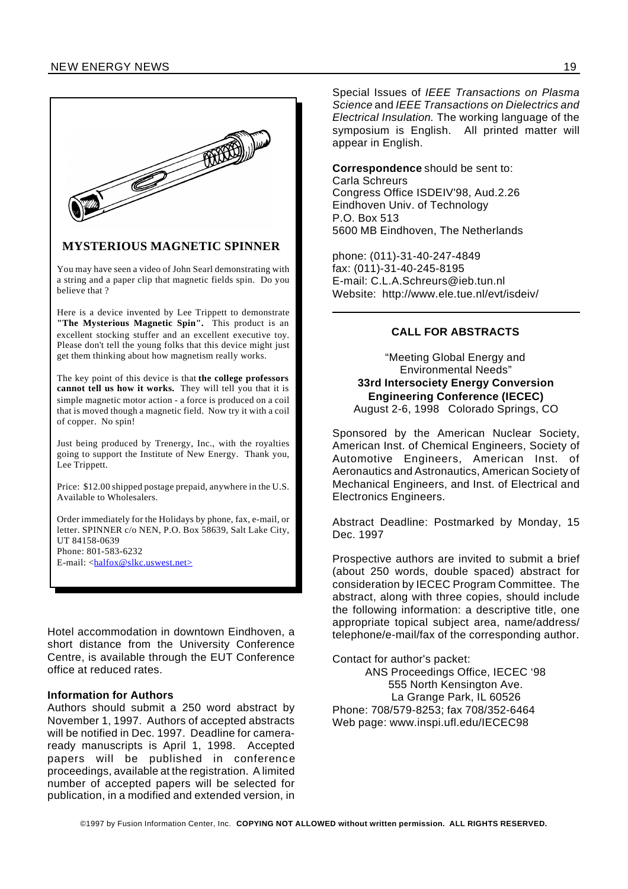

#### **MYSTERIOUS MAGNETIC SPINNER**

You may have seen a video of John Searl demonstrating with a string and a paper clip that magnetic fields spin. Do you believe that ?

Here is a device invented by Lee Trippett to demonstrate **"The Mysterious Magnetic Spin".** This product is an excellent stocking stuffer and an excellent executive toy. Please don't tell the young folks that this device might just get them thinking about how magnetism really works.

The key point of this device is that **the college professors cannot tell us how it works.** They will tell you that it is simple magnetic motor action - a force is produced on a coil that is moved though a magnetic field. Now try it with a coil of copper. No spin!

Just being produced by Trenergy, Inc., with the royalties going to support the Institute of New Energy. Thank you, Lee Trippett.

Price: \$12.00 shipped postage prepaid, anywhere in the U.S. Available to Wholesalers.

Order immediately for the Holidays by phone, fax, e-mail, or letter. SPINNER c/o NEN, P.O. Box 58639, Salt Lake City, UT 84158-0639 Phone: 801-583-6232 E-mail: <halfox@slkc.uswest.net>

Hotel accommodation in downtown Eindhoven, a short distance from the University Conference Centre, is available through the EUT Conference office at reduced rates.

#### **Information for Authors**

Authors should submit a 250 word abstract by November 1, 1997. Authors of accepted abstracts will be notified in Dec. 1997. Deadline for cameraready manuscripts is April 1, 1998. Accepted papers will be published in conference proceedings, available at the registration. A limited number of accepted papers will be selected for publication, in a modified and extended version, in

Special Issues of *IEEE Transactions on Plasma Science* and *IEEE Transactions on Dielectrics and Electrical Insulation.* The working language of the symposium is English. All printed matter will appear in English.

**Correspondence** should be sent to: Carla Schreurs Congress Office ISDEIV'98, Aud.2.26 Eindhoven Univ. of Technology P.O. Box 513 5600 MB Eindhoven, The Netherlands

phone: (011)-31-40-247-4849 fax: (011)-31-40-245-8195 E-mail: C.L.A.Schreurs@ieb.tun.nl Website: http://www.ele.tue.nl/evt/isdeiv/

#### **CALL FOR ABSTRACTS**

"Meeting Global Energy and Environmental Needs" **33rd Intersociety Energy Conversion Engineering Conference (IECEC)** August 2-6, 1998 Colorado Springs, CO

Sponsored by the American Nuclear Society, American Inst. of Chemical Engineers, Society of Automotive Engineers, American Inst. of Aeronautics and Astronautics, American Society of Mechanical Engineers, and Inst. of Electrical and Electronics Engineers.

Abstract Deadline: Postmarked by Monday, 15 Dec. 1997

Prospective authors are invited to submit a brief (about 250 words, double spaced) abstract for consideration by IECEC Program Committee. The abstract, along with three copies, should include the following information: a descriptive title, one appropriate topical subject area, name/address/ telephone/e-mail/fax of the corresponding author.

Contact for author's packet: ANS Proceedings Office, IECEC '98 555 North Kensington Ave. La Grange Park, IL 60526 Phone: 708/579-8253; fax 708/352-6464 Web page: www.inspi.ufl.edu/IECEC98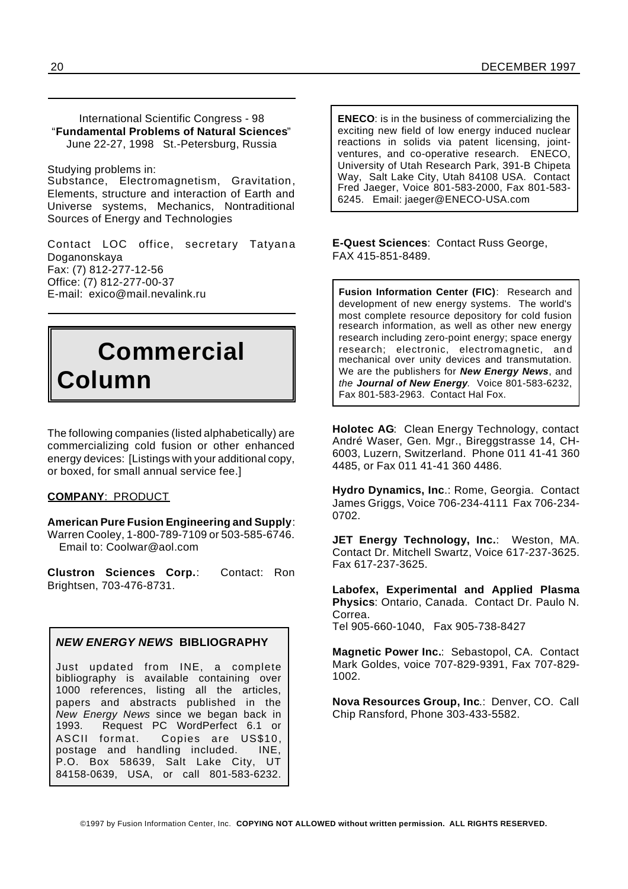International Scientific Congress - 98 "**Fundamental Problems of Natural Sciences**" June 22-27, 1998 St.-Petersburg, Russia

Studying problems in:

Substance, Electromagnetism, Gravitation, Elements, structure and interaction of Earth and Universe systems, Mechanics, Nontraditional Sources of Energy and Technologies

Contact LOC office, secretary Tatyana Doganonskaya Fax: (7) 812-277-12-56 Office: (7) 812-277-00-37 E-mail: exico@mail.nevalink.ru

## **Commercial Column**

The following companies (listed alphabetically) are commercializing cold fusion or other enhanced energy devices: [Listings with your additional copy, or boxed, for small annual service fee.]

#### **COMPANY**: PRODUCT

**American Pure Fusion Engineering and Supply**: Warren Cooley, 1-800-789-7109 or 503-585-6746. Email to: Coolwar@aol.com

**Clustron Sciences Corp.**: Contact: Ron Brightsen, 703-476-8731.

#### *NEW ENERGY NEWS* **BIBLIOGRAPHY**

Just updated from INE, a complete bibliography is available containing over 1000 references, listing all the articles, papers and abstracts published in the *New Energy News* since we began back in 1993. Request PC WordPerfect 6.1 or ASCII format. Copies are US\$10, postage and handling included. INE, P.O. Box 58639, Salt Lake City, UT 84158-0639, USA, or call 801-583-6232.

**ENECO**: is in the business of commercializing the exciting new field of low energy induced nuclear reactions in solids via patent licensing, jointventures, and co-operative research. ENECO, University of Utah Research Park, 391-B Chipeta Way, Salt Lake City, Utah 84108 USA. Contact Fred Jaeger, Voice 801-583-2000, Fax 801-583- 6245. Email: jaeger@ENECO-USA.com

**E-Quest Sciences**: Contact Russ George, FAX 415-851-8489.

**Fusion Information Center (FIC)**: Research and development of new energy systems. The world's most complete resource depository for cold fusion research information, as well as other new energy research including zero-point energy; space energy research; electronic, electromagnetic, an d mechanical over unity devices and transmutation. We are the publishers for *New Energy News*, and *the Journal of New Energy.* Voice 801-583-6232, Fax 801-583-2963. Contact Hal Fox.

**Holotec AG**: Clean Energy Technology, contact André Waser, Gen. Mgr., Bireggstrasse 14, CH-6003, Luzern, Switzerland. Phone 011 41-41 360 4485, or Fax 011 41-41 360 4486.

**Hydro Dynamics, Inc**.: Rome, Georgia. Contact James Griggs, Voice 706-234-4111 Fax 706-234- 0702.

**JET Energy Technology, Inc.**: Weston, MA. Contact Dr. Mitchell Swartz, Voice 617-237-3625. Fax 617-237-3625.

**Labofex, Experimental and Applied Plasma Physics**: Ontario, Canada. Contact Dr. Paulo N. Correa. Tel 905-660-1040, Fax 905-738-8427

**Magnetic Power Inc.**: Sebastopol, CA. Contact Mark Goldes, voice 707-829-9391, Fax 707-829- 1002.

**Nova Resources Group, Inc**.: Denver, CO. Call Chip Ransford, Phone 303-433-5582.

©1997 by Fusion Information Center, Inc. **COPYING NOT ALLOWED without written permission. ALL RIGHTS RESERVED.**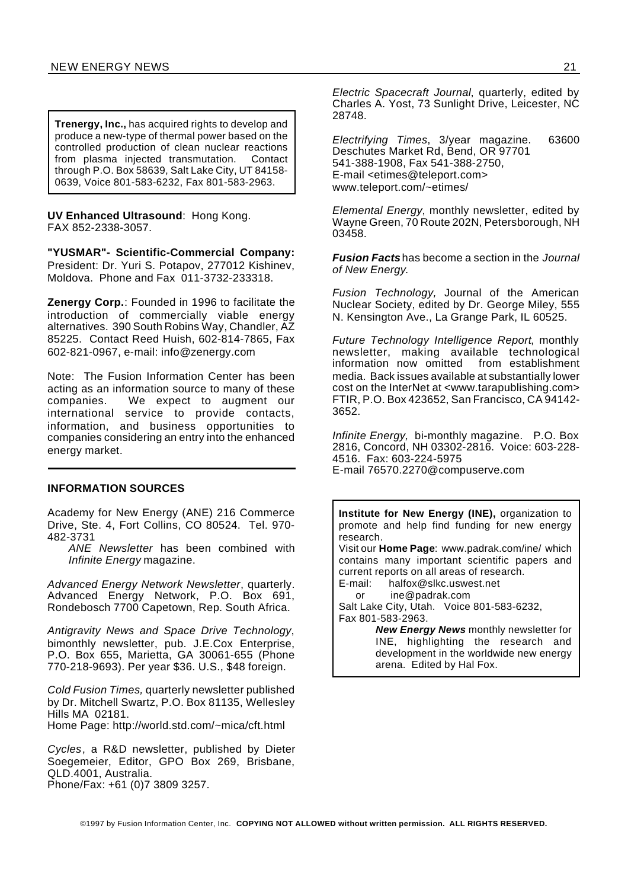**Trenergy, Inc.,** has acquired rights to develop and produce a new-type of thermal power based on the controlled production of clean nuclear reactions from plasma injected transmutation. Contact through P.O. Box 58639, Salt Lake City, UT 84158- 0639, Voice 801-583-6232, Fax 801-583-2963.

**UV Enhanced Ultrasound**: Hong Kong. FAX 852-2338-3057.

**"YUSMAR"- Scientific-Commercial Company:** President: Dr. Yuri S. Potapov, 277012 Kishinev, Moldova. Phone and Fax 011-3732-233318.

**Zenergy Corp.**: Founded in 1996 to facilitate the introduction of commercially viable energy alternatives. 390 South Robins Way, Chandler, AZ 85225. Contact Reed Huish, 602-814-7865, Fax 602-821-0967, e-mail: info@zenergy.com

Note: The Fusion Information Center has been acting as an information source to many of these companies. We expect to augment our international service to provide contacts, information, and business opportunities to companies considering an entry into the enhanced energy market.

#### **INFORMATION SOURCES**

Academy for New Energy (ANE) 216 Commerce Drive, Ste. 4, Fort Collins, CO 80524. Tel. 970- 482-3731

*ANE Newsletter* has been combined with *Infinite Energy* magazine.

*Advanced Energy Network Newsletter*, quarterly. Advanced Energy Network, P.O. Box 691, Rondebosch 7700 Capetown, Rep. South Africa.

*Antigravity News and Space Drive Technology*, bimonthly newsletter, pub. J.E.Cox Enterprise, P.O. Box 655, Marietta, GA 30061-655 (Phone 770-218-9693). Per year \$36. U.S., \$48 foreign.

*Cold Fusion Times,* quarterly newsletter published by Dr. Mitchell Swartz, P.O. Box 81135, Wellesley Hills MA 02181. Home Page: http://world.std.com/~mica/cft.html

*Cycles*, a R&D newsletter, published by Dieter Soegemeier, Editor, GPO Box 269, Brisbane, QLD.4001, Australia. Phone/Fax: +61 (0)7 3809 3257.

*Electric Spacecraft Journal*, quarterly, edited by Charles A. Yost, 73 Sunlight Drive, Leicester, NC 28748.

*Electrifying Times*, 3/year magazine. 63600 Deschutes Market Rd, Bend, OR 97701 541-388-1908, Fax 541-388-2750, E-mail <etimes@teleport.com> www.teleport.com/~etimes/

*Elemental Energy*, monthly newsletter, edited by Wayne Green, 70 Route 202N, Petersborough, NH 03458.

*Fusion Facts* has become a section in the *Journal of New Energy*.

*Fusion Technology,* Journal of the American Nuclear Society, edited by Dr. George Miley, 555 N. Kensington Ave., La Grange Park, IL 60525.

*Future Technology Intelligence Report*, monthly newsletter, making available technological information now omitted from establishment media. Back issues available at substantially lower cost on the InterNet at <www.tarapublishing.com> FTIR, P.O. Box 423652, San Francisco, CA 94142- 3652.

*Infinite Energy,* bi-monthly magazine. P.O. Box 2816, Concord, NH 03302-2816. Voice: 603-228- 4516. Fax: 603-224-5975 E-mail 76570.2270@compuserve.com

**Institute for New Energy (INE),** organization to promote and help find funding for new energy research.

Visit our **Home Page**: www.padrak.com/ine/ which contains many important scientific papers and current reports on all areas of research.

E-mail: halfox@slkc.uswest.net or ine@padrak.com

Salt Lake City, Utah. Voice 801-583-6232, Fax 801-583-2963.

> *New Energy News* monthly newsletter for INE, highlighting the research and development in the worldwide new energy arena. Edited by Hal Fox.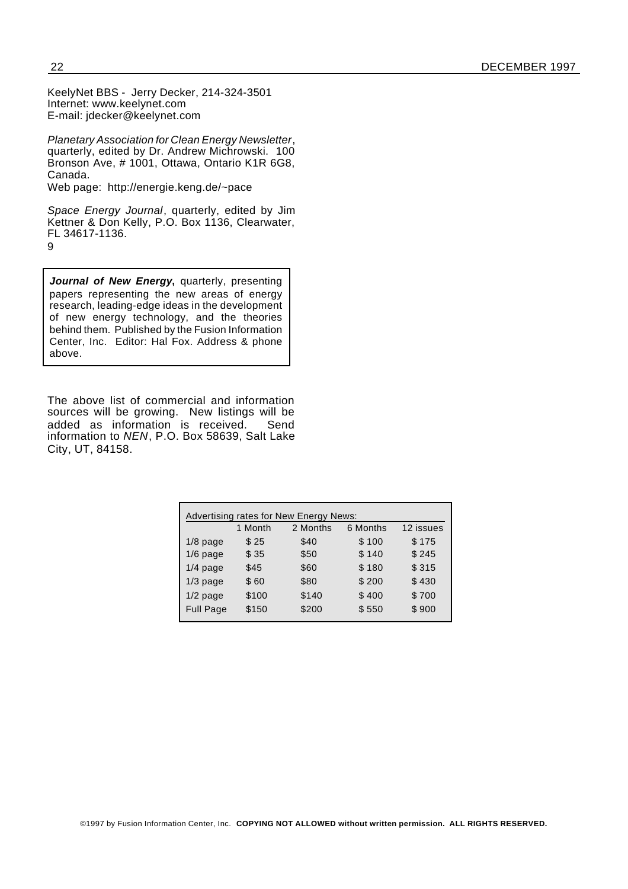KeelyNet BBS - Jerry Decker, 214-324-3501 Internet: www.keelynet.com E-mail: jdecker@keelynet.com

*Planetary Association for Clean Energy Newsletter*, quarterly, edited by Dr. Andrew Michrowski. 100 Bronson Ave, # 1001, Ottawa, Ontario K1R 6G8, Canada.

Web page: http://energie.keng.de/~pace

*Space Energy Journal*, quarterly, edited by Jim Kettner & Don Kelly, P.O. Box 1136, Clearwater, FL 34617-1136. 9

*Journal of New Energy***,** quarterly, presenting papers representing the new areas of energy research, leading-edge ideas in the development of new energy technology, and the theories behind them. Published by the Fusion Information Center, Inc. Editor: Hal Fox. Address & phone above.

The above list of commercial and information sources will be growing. New listings will be added as information is received. Send information to *NEN*, P.O. Box 58639, Salt Lake City, UT, 84158.

| Advertising rates for New Energy News: |         |          |          |           |
|----------------------------------------|---------|----------|----------|-----------|
|                                        | 1 Month | 2 Months | 6 Months | 12 issues |
| $1/8$ page                             | \$25    | \$40     | \$100    | \$175     |
| $1/6$ page                             | \$35    | \$50     | \$140    | \$245     |
| $1/4$ page                             | \$45    | \$60     | \$180    | \$315     |
| $1/3$ page                             | \$60    | \$80     | \$200    | \$430     |
| $1/2$ page                             | \$100   | \$140    | \$400    | \$700     |
| <b>Full Page</b>                       | \$150   | \$200    | \$550    | \$900     |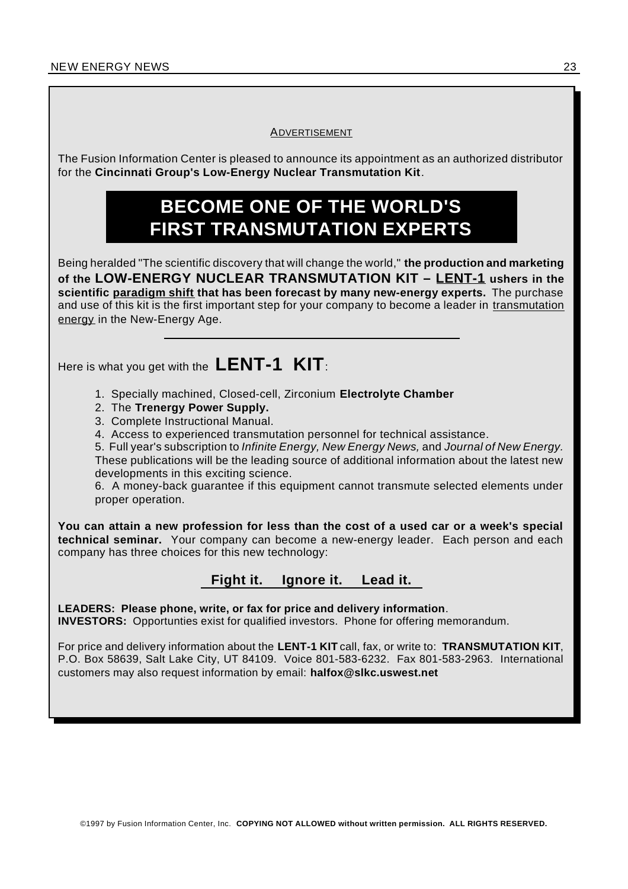#### **ADVERTISEMENT**

The Fusion Information Center is pleased to announce its appointment as an authorized distributor for the **Cincinnati Group's Low-Energy Nuclear Transmutation Kit**.

## **BECOME ONE OF THE WORLD'S FIRST TRANSMUTATION EXPERTS**

Being heralded "The scientific discovery that will change the world," **the production and marketing of the LOW-ENERGY NUCLEAR TRANSMUTATION KIT – LENT-1 ushers in the scientific paradigm shift that has been forecast by many new-energy experts.** The purchase and use of this kit is the first important step for your company to become a leader in transmutation energy in the New-Energy Age.

Here is what you get with the **LENT-1 KIT**:

1. Specially machined, Closed-cell, Zirconium **Electrolyte Chamber**

- 2. The **Trenergy Power Supply.**
- 3. Complete Instructional Manual.
- 4. Access to experienced transmutation personnel for technical assistance.

5. Full year's subscription to *Infinite Energy, New Energy News,* and *Journal of New Energy.* These publications will be the leading source of additional information about the latest new developments in this exciting science.

6. A money-back guarantee if this equipment cannot transmute selected elements under proper operation.

**You can attain a new profession for less than the cost of a used car or a week's special technical seminar.** Your company can become a new-energy leader. Each person and each company has three choices for this new technology:

## **Fight it. Ignore it. Lead it.**

**LEADERS: Please phone, write, or fax for price and delivery information**. **INVESTORS:** Opportunties exist for qualified investors. Phone for offering memorandum.

For price and delivery information about the **LENT-1 KIT** call, fax, or write to: **TRANSMUTATION KIT**, P.O. Box 58639, Salt Lake City, UT 84109. Voice 801-583-6232. Fax 801-583-2963. International customers may also request information by email: **halfox@slkc.uswest.net**